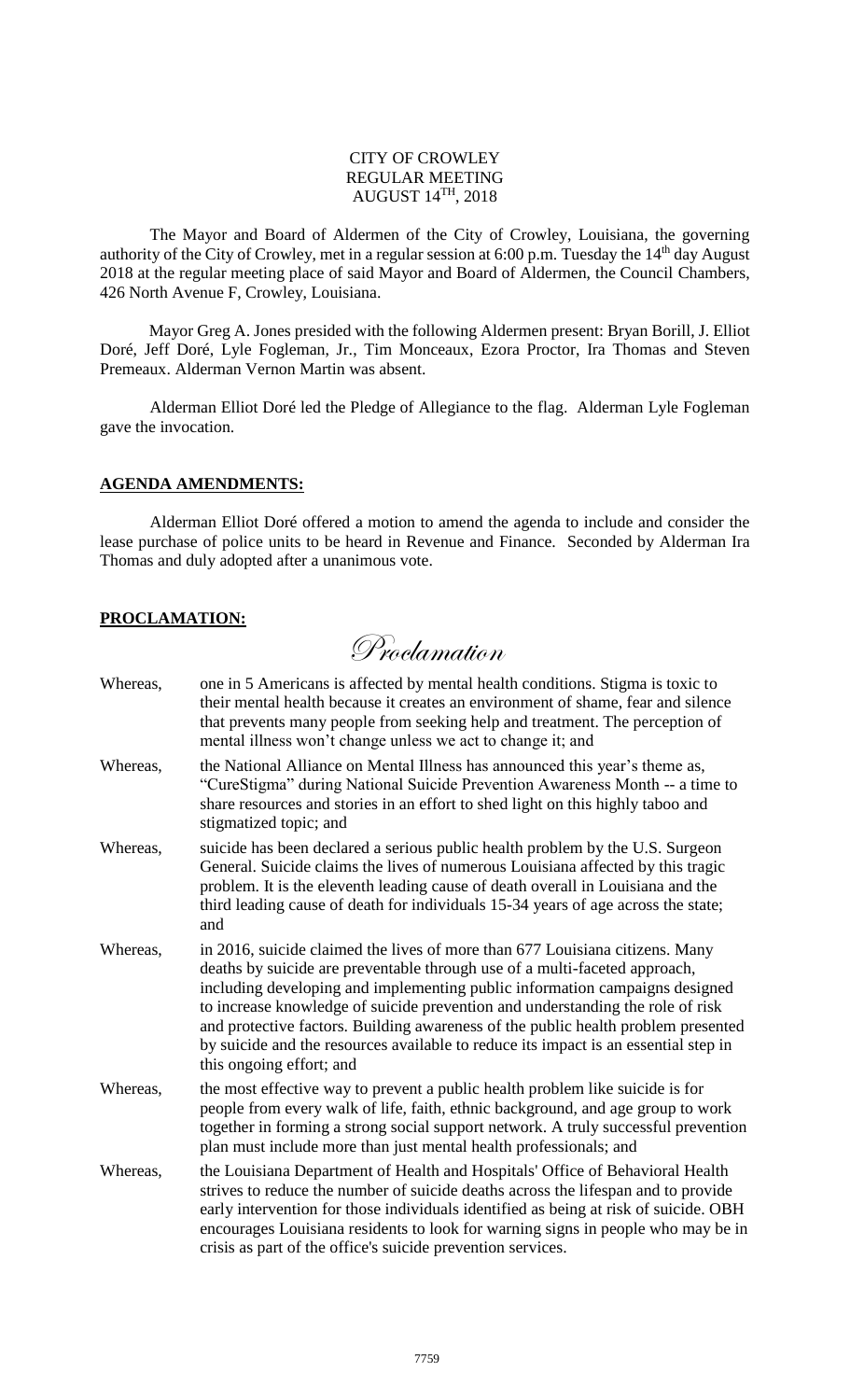### CITY OF CROWLEY REGULAR MEETING AUGUST 14 TH, 2018

The Mayor and Board of Aldermen of the City of Crowley, Louisiana, the governing authority of the City of Crowley, met in a regular session at 6:00 p.m. Tuesday the  $14<sup>th</sup>$  day August 2018 at the regular meeting place of said Mayor and Board of Aldermen, the Council Chambers, 426 North Avenue F, Crowley, Louisiana.

Mayor Greg A. Jones presided with the following Aldermen present: Bryan Borill, J. Elliot Doré, Jeff Doré, Lyle Fogleman, Jr., Tim Monceaux, Ezora Proctor, Ira Thomas and Steven Premeaux. Alderman Vernon Martin was absent.

Alderman Elliot Doré led the Pledge of Allegiance to the flag. Alderman Lyle Fogleman gave the invocation.

### **AGENDA AMENDMENTS:**

Alderman Elliot Doré offered a motion to amend the agenda to include and consider the lease purchase of police units to be heard in Revenue and Finance. Seconded by Alderman Ira Thomas and duly adopted after a unanimous vote.

### **PROCLAMATION:**

Proclamation

| Whereas, | one in 5 Americans is affected by mental health conditions. Stigma is toxic to<br>their mental health because it creates an environment of shame, fear and silence<br>that prevents many people from seeking help and treatment. The perception of<br>mental illness won't change unless we act to change it; and                                                                                                                                                                                                                   |
|----------|-------------------------------------------------------------------------------------------------------------------------------------------------------------------------------------------------------------------------------------------------------------------------------------------------------------------------------------------------------------------------------------------------------------------------------------------------------------------------------------------------------------------------------------|
| Whereas, | the National Alliance on Mental Illness has announced this year's theme as,<br>"CureStigma" during National Suicide Prevention Awareness Month -- a time to<br>share resources and stories in an effort to shed light on this highly taboo and<br>stigmatized topic; and                                                                                                                                                                                                                                                            |
| Whereas, | suicide has been declared a serious public health problem by the U.S. Surgeon<br>General. Suicide claims the lives of numerous Louisiana affected by this tragic<br>problem. It is the eleventh leading cause of death overall in Louisiana and the<br>third leading cause of death for individuals 15-34 years of age across the state;<br>and                                                                                                                                                                                     |
| Whereas, | in 2016, suicide claimed the lives of more than 677 Louisiana citizens. Many<br>deaths by suicide are preventable through use of a multi-faceted approach,<br>including developing and implementing public information campaigns designed<br>to increase knowledge of suicide prevention and understanding the role of risk<br>and protective factors. Building awareness of the public health problem presented<br>by suicide and the resources available to reduce its impact is an essential step in<br>this ongoing effort; and |
| Whereas, | the most effective way to prevent a public health problem like suicide is for<br>people from every walk of life, faith, ethnic background, and age group to work<br>together in forming a strong social support network. A truly successful prevention<br>plan must include more than just mental health professionals; and                                                                                                                                                                                                         |
| Whereas, | the Louisiana Department of Health and Hospitals' Office of Behavioral Health<br>strives to reduce the number of suicide deaths across the lifespan and to provide<br>early intervention for those individuals identified as being at risk of suicide. OBH<br>encourages Louisiana residents to look for warning signs in people who may be in<br>crisis as part of the office's suicide prevention services.                                                                                                                       |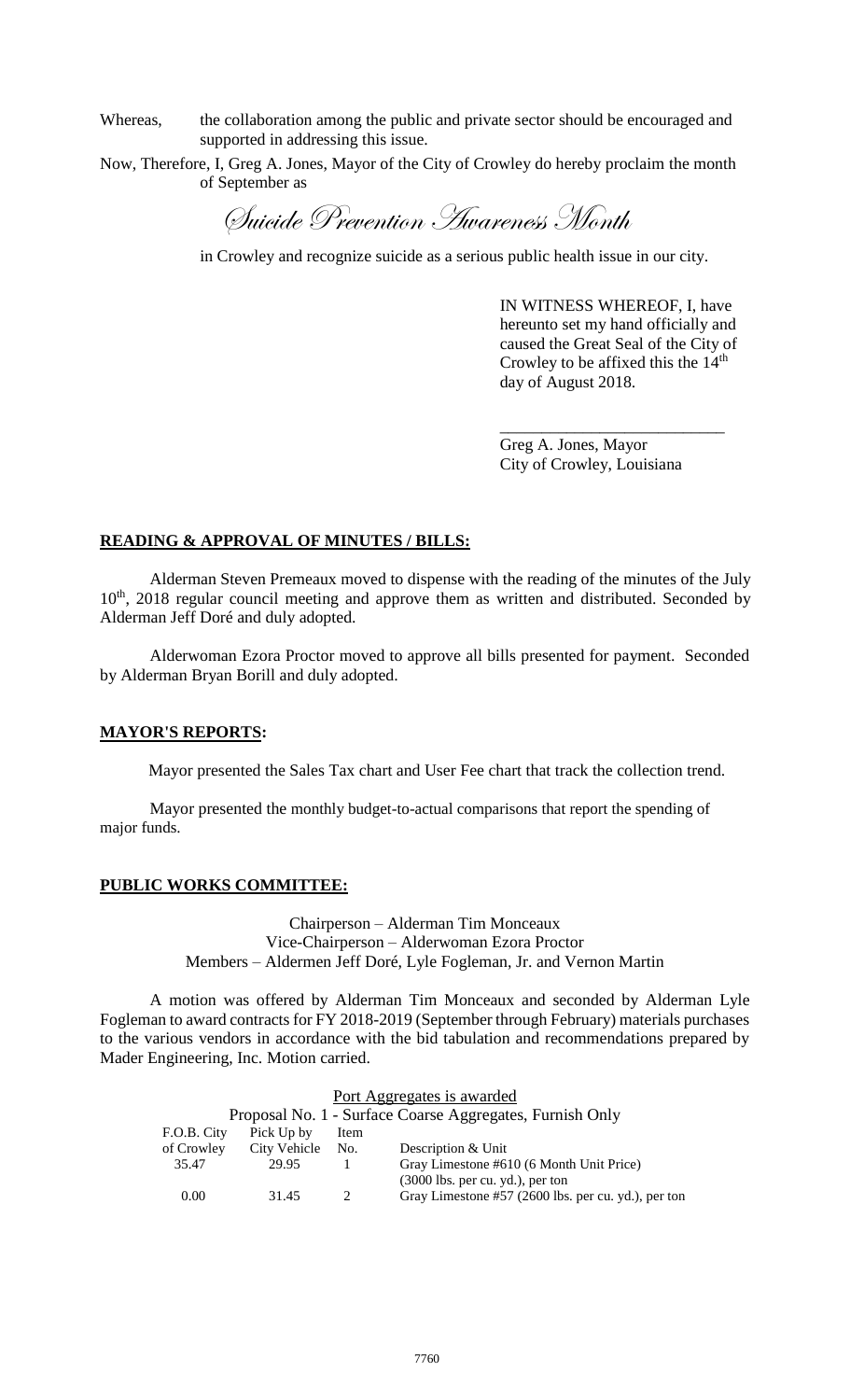Whereas, the collaboration among the public and private sector should be encouraged and supported in addressing this issue.

Now, Therefore, I, Greg A. Jones, Mayor of the City of Crowley do hereby proclaim the month of September as

Suicide Prevention Awareness Month

in Crowley and recognize suicide as a serious public health issue in our city.

IN WITNESS WHEREOF, I, have hereunto set my hand officially and caused the Great Seal of the City of Crowley to be affixed this the  $14<sup>th</sup>$ day of August 2018.

\_\_\_\_\_\_\_\_\_\_\_\_\_\_\_\_\_\_\_\_\_\_\_\_\_\_\_

Greg A. Jones, Mayor City of Crowley, Louisiana

### **READING & APPROVAL OF MINUTES / BILLS:**

Alderman Steven Premeaux moved to dispense with the reading of the minutes of the July 10<sup>th</sup>, 2018 regular council meeting and approve them as written and distributed. Seconded by Alderman Jeff Doré and duly adopted.

Alderwoman Ezora Proctor moved to approve all bills presented for payment. Seconded by Alderman Bryan Borill and duly adopted.

#### **MAYOR'S REPORTS:**

Mayor presented the Sales Tax chart and User Fee chart that track the collection trend.

Mayor presented the monthly budget-to-actual comparisons that report the spending of major funds.

### **PUBLIC WORKS COMMITTEE:**

Chairperson – Alderman Tim Monceaux Vice-Chairperson – Alderwoman Ezora Proctor Members – Aldermen Jeff Doré, Lyle Fogleman, Jr. and Vernon Martin

A motion was offered by Alderman Tim Monceaux and seconded by Alderman Lyle Fogleman to award contracts for FY 2018-2019 (September through February) materials purchases to the various vendors in accordance with the bid tabulation and recommendations prepared by Mader Engineering, Inc. Motion carried.

| Port Aggregates is awarded |                                                          |      |                                                     |  |  |  |
|----------------------------|----------------------------------------------------------|------|-----------------------------------------------------|--|--|--|
|                            | Proposal No. 1 - Surface Coarse Aggregates, Furnish Only |      |                                                     |  |  |  |
| F.O.B. City                | Pick Up by                                               | Item |                                                     |  |  |  |
| of Crowley                 | City Vehicle                                             | No.  | Description & Unit                                  |  |  |  |
| 35.47                      | 29.95                                                    |      | Gray Limestone #610 (6 Month Unit Price)            |  |  |  |
|                            |                                                          |      | $(3000$ lbs. per cu. yd.), per ton                  |  |  |  |
| 0.00                       | 31.45                                                    |      | Gray Limestone #57 (2600 lbs. per cu. yd.), per ton |  |  |  |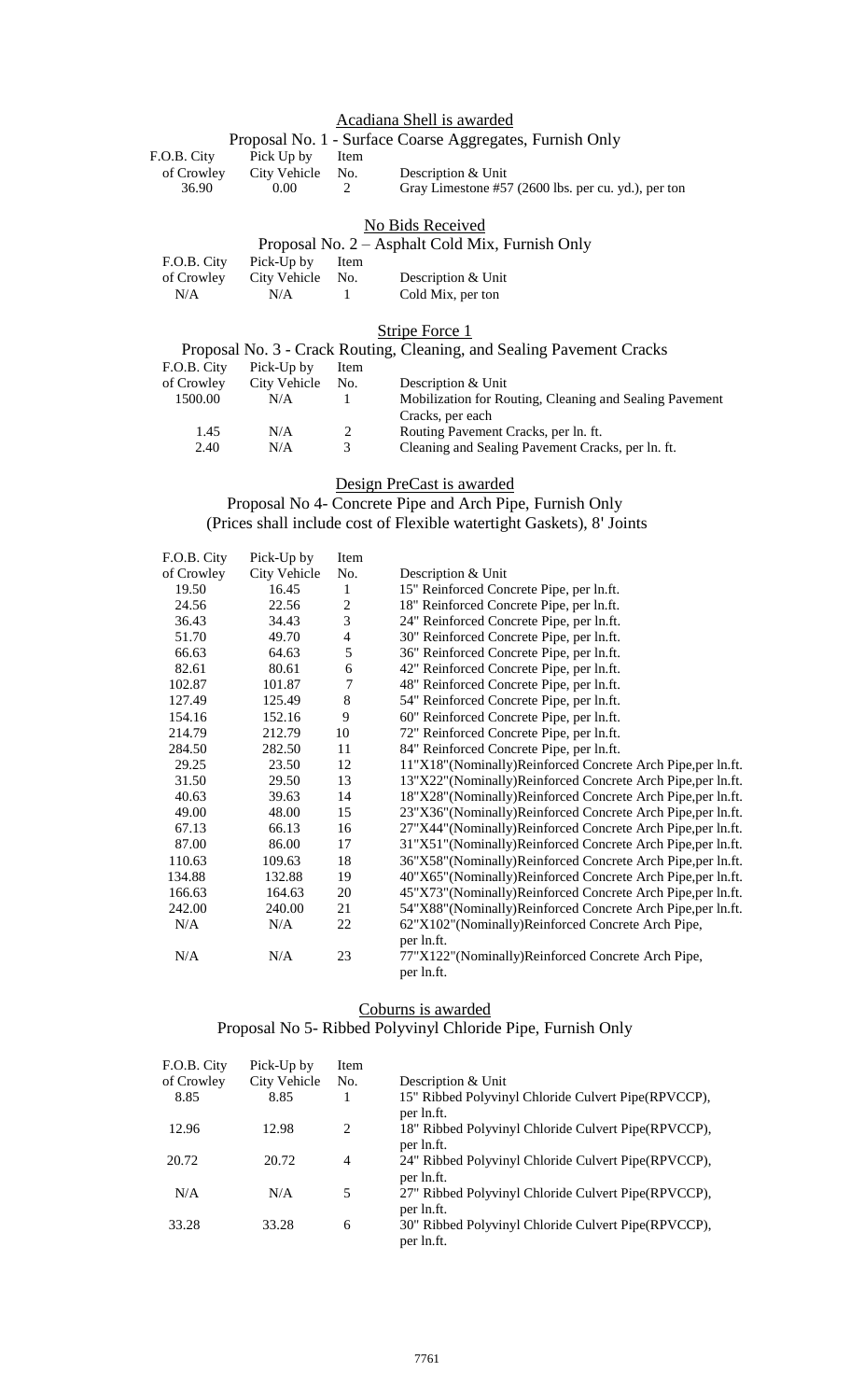## Acadiana Shell is awarded

|             |              |               | Proposal No. 1 - Surface Coarse Aggregates, Furnish Only                       |
|-------------|--------------|---------------|--------------------------------------------------------------------------------|
| F.O.B. City | Pick Up by   | Item          |                                                                                |
| of Crowley  | City Vehicle | No.           | Description & Unit                                                             |
| 36.90       | 0.001        | $\mathcal{L}$ | Gray Limestone #57 $(2600 \text{ lbs.} \text{ per cu.} \text{ yd.})$ , per ton |

### No Bids Received

### Proposal No. 2 – Asphalt Cold Mix, Furnish Only

|     | F.O.B. City Pick-Up by Item |                    |  |
|-----|-----------------------------|--------------------|--|
|     | of Crowley City Vehicle No. | Description & Unit |  |
| N/A | N/A                         | Cold Mix, per ton  |  |

Stripe Force 1

|             |              |      | Proposal No. 3 - Crack Routing, Cleaning, and Sealing Pavement Cracks |
|-------------|--------------|------|-----------------------------------------------------------------------|
| F.O.B. City | Pick-Up by   | Item |                                                                       |
| of Crowley  | City Vehicle | No.  | Description & Unit                                                    |
| 1500.00     | N/A          |      | Mobilization for Routing, Cleaning and Sealing Pavement               |
|             |              |      | Cracks, per each                                                      |
| 1.45        | N/A          | 2    | Routing Pavement Cracks, per ln. ft.                                  |
| 2.40        | N/A          | 3    | Cleaning and Sealing Pavement Cracks, per ln. ft.                     |
|             |              |      |                                                                       |

Design PreCast is awarded

Proposal No 4- Concrete Pipe and Arch Pipe, Furnish Only (Prices shall include cost of Flexible watertight Gaskets), 8' Joints

| F.O.B. City | Pick-Up by   | Item                     |                                                                               |
|-------------|--------------|--------------------------|-------------------------------------------------------------------------------|
| of Crowley  | City Vehicle | No.                      | Description & Unit                                                            |
| 19.50       | 16.45        | 1                        | 15" Reinforced Concrete Pipe, per ln.ft.                                      |
| 24.56       | 22.56        | $\overline{2}$           | 18" Reinforced Concrete Pipe, per ln.ft.                                      |
| 36.43       | 34.43        | 3                        | 24" Reinforced Concrete Pipe, per ln.ft.                                      |
| 51.70       | 49.70        | $\overline{\mathcal{A}}$ | 30" Reinforced Concrete Pipe, per ln.ft.                                      |
| 66.63       | 64.63        | 5                        | 36" Reinforced Concrete Pipe, per ln.ft.                                      |
| 82.61       | 80.61        | $\sqrt{6}$               | 42" Reinforced Concrete Pipe, per ln.ft.                                      |
| 102.87      | 101.87       | $\overline{7}$           | 48" Reinforced Concrete Pipe, per ln.ft.                                      |
| 127.49      | 125.49       | $\,8\,$                  | 54" Reinforced Concrete Pipe, per ln.ft.                                      |
| 154.16      | 152.16       | 9                        | 60" Reinforced Concrete Pipe, per ln.ft.                                      |
| 214.79      | 212.79       | 10                       | 72" Reinforced Concrete Pipe, per ln.ft.                                      |
| 284.50      | 282.50       | 11                       | 84" Reinforced Concrete Pipe, per ln.ft.                                      |
| 29.25       | 23.50        | 12                       | 11"X18"(Nominally)Reinforced Concrete Arch Pipe,per ln.ft.                    |
| 31.50       | 29.50        | 13                       | 13"X22"(Nominally)Reinforced Concrete Arch Pipe,per ln.ft.                    |
| 40.63       | 39.63        | 14                       | 18"X28"(Nominally)Reinforced Concrete Arch Pipe,per ln.ft.                    |
| 49.00       | 48.00        | 15                       | 23"X36"(Nominally)Reinforced Concrete Arch Pipe,per ln.ft.                    |
| 67.13       | 66.13        | 16                       | 27"X44"(Nominally)Reinforced Concrete Arch Pipe,per ln.ft.                    |
| 87.00       | 86.00        | 17                       | 31"X51"(Nominally)Reinforced Concrete Arch Pipe,per ln.ft.                    |
| 110.63      | 109.63       | 18                       | 36"X58"(Nominally)Reinforced Concrete Arch Pipe,per ln.ft.                    |
| 134.88      | 132.88       | 19                       | 40"X65"(Nominally)Reinforced Concrete Arch Pipe,per ln.ft.                    |
| 166.63      | 164.63       | 20                       | 45"X73"(Nominally)Reinforced Concrete Arch Pipe,per ln.ft.                    |
| 242.00      | 240.00       | 21                       | 54"X88"(Nominally)Reinforced Concrete Arch Pipe,per ln.ft.                    |
| N/A         | N/A          | 22                       | 62"X102"(Nominally)Reinforced Concrete Arch Pipe,                             |
| N/A         | N/A          | 23                       | per ln.ft.<br>77"X122"(Nominally)Reinforced Concrete Arch Pipe,<br>per ln.ft. |
|             |              |                          |                                                                               |

### Coburns is awarded

# Proposal No 5- Ribbed Polyvinyl Chloride Pipe, Furnish Only

| F.O.B. City | Pick-Up by   | Item |                                                                    |
|-------------|--------------|------|--------------------------------------------------------------------|
| of Crowley  | City Vehicle | No.  | Description & Unit                                                 |
| 8.85        | 8.85         |      | 15" Ribbed Polyvinyl Chloride Culvert Pipe(RPVCCP),<br>per ln.ft.  |
| 12.96       | 12.98        | 2    | 18" Ribbed Polyvinyl Chloride Culvert Pipe(RPVCCP),<br>per ln.ft.  |
| 20.72       | 20.72        | 4    | 24" Ribbed Polyvinyl Chloride Culvert Pipe (RPVCCP),<br>per ln.ft. |
| N/A         | N/A          | 5    | 27" Ribbed Polyvinyl Chloride Culvert Pipe(RPVCCP),<br>per ln.ft.  |
| 33.28       | 33.28        | 6    | 30" Ribbed Polyvinyl Chloride Culvert Pipe (RPVCCP),<br>per ln.ft. |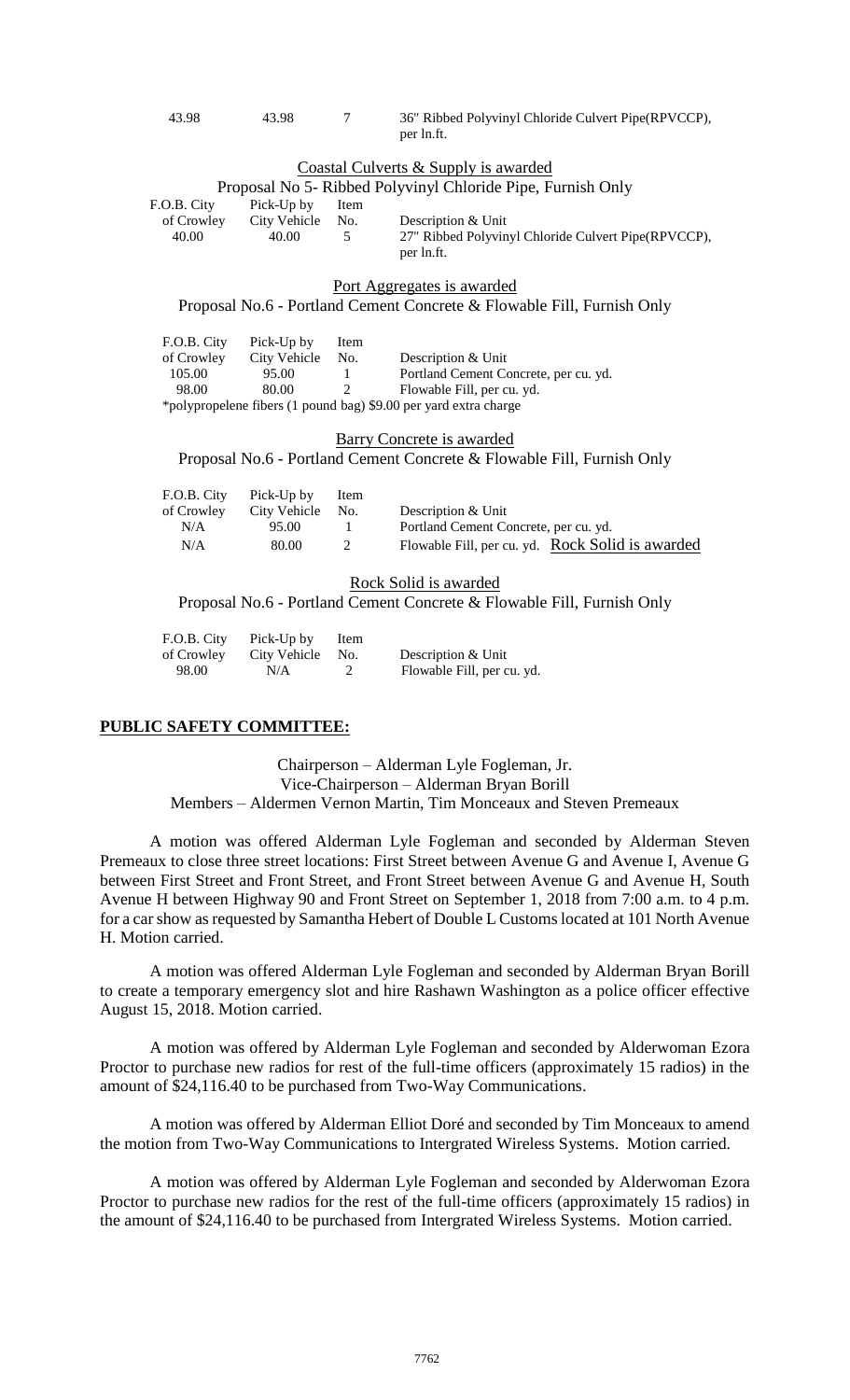| 43.98 | 43.98 | 36" Ribbed Polyvinyl Chloride Culvert Pipe(RPVCCP), |
|-------|-------|-----------------------------------------------------|
|       |       | per ln.ft.                                          |

#### Coastal Culverts & Supply is awarded

| Proposal No 5- Ribbed Polyvinyl Chloride Pipe, Furnish Only |              |               |                                                      |  |  |  |
|-------------------------------------------------------------|--------------|---------------|------------------------------------------------------|--|--|--|
| F.O.B. City                                                 | Pick-Up by   | Item          |                                                      |  |  |  |
| of Crowley                                                  | City Vehicle | No.           | Description & Unit                                   |  |  |  |
| 40.00                                                       | 40.00        | $\mathcal{L}$ | 27" Ribbed Polyvinyl Chloride Culvert Pipe (RPVCCP), |  |  |  |
|                                                             |              |               | per ln.ft.                                           |  |  |  |

#### Port Aggregates is awarded

Proposal No.6 - Portland Cement Concrete & Flowable Fill, Furnish Only

| F.O.B. City                                                      | Pick-Up by   | Item        |                                       |  |  |  |
|------------------------------------------------------------------|--------------|-------------|---------------------------------------|--|--|--|
| of Crowley                                                       | City Vehicle | No.         | Description & Unit                    |  |  |  |
| 105.00                                                           | 95.00        |             | Portland Cement Concrete, per cu. yd. |  |  |  |
| 98.00                                                            | 80.00        | $2^{\circ}$ | Flowable Fill, per cu. yd.            |  |  |  |
| *polypropelene fibers (1 pound bag) \$9.00 per yard extra charge |              |             |                                       |  |  |  |

#### Barry Concrete is awarded

Proposal No.6 - Portland Cement Concrete & Flowable Fill, Furnish Only

|            | F.O.B. City Pick-Up by | Item |                                                  |
|------------|------------------------|------|--------------------------------------------------|
| of Crowley | City Vehicle No.       |      | Description & Unit                               |
| N/A        | 95.00                  |      | Portland Cement Concrete, per cu. yd.            |
| N/A        | 80.00                  | 2    | Flowable Fill, per cu. yd. Rock Solid is awarded |

#### Rock Solid is awarded

Proposal No.6 - Portland Cement Concrete & Flowable Fill, Furnish Only

| F.O.B. City | Pick-Up by   | Item |                            |
|-------------|--------------|------|----------------------------|
| of Crowley  | City Vehicle | No.  | Description & Unit         |
| 98.00       | N/A          |      | Flowable Fill, per cu. yd. |

#### **PUBLIC SAFETY COMMITTEE:**

Chairperson – Alderman Lyle Fogleman, Jr. Vice-Chairperson – Alderman Bryan Borill Members – Aldermen Vernon Martin, Tim Monceaux and Steven Premeaux

A motion was offered Alderman Lyle Fogleman and seconded by Alderman Steven Premeaux to close three street locations: First Street between Avenue G and Avenue I, Avenue G between First Street and Front Street, and Front Street between Avenue G and Avenue H, South Avenue H between Highway 90 and Front Street on September 1, 2018 from 7:00 a.m. to 4 p.m. for a car show as requested by Samantha Hebert of Double L Customs located at 101 North Avenue H. Motion carried.

A motion was offered Alderman Lyle Fogleman and seconded by Alderman Bryan Borill to create a temporary emergency slot and hire Rashawn Washington as a police officer effective August 15, 2018. Motion carried.

A motion was offered by Alderman Lyle Fogleman and seconded by Alderwoman Ezora Proctor to purchase new radios for rest of the full-time officers (approximately 15 radios) in the amount of \$24,116.40 to be purchased from Two-Way Communications.

A motion was offered by Alderman Elliot Doré and seconded by Tim Monceaux to amend the motion from Two-Way Communications to Intergrated Wireless Systems. Motion carried.

A motion was offered by Alderman Lyle Fogleman and seconded by Alderwoman Ezora Proctor to purchase new radios for the rest of the full-time officers (approximately 15 radios) in the amount of \$24,116.40 to be purchased from Intergrated Wireless Systems. Motion carried.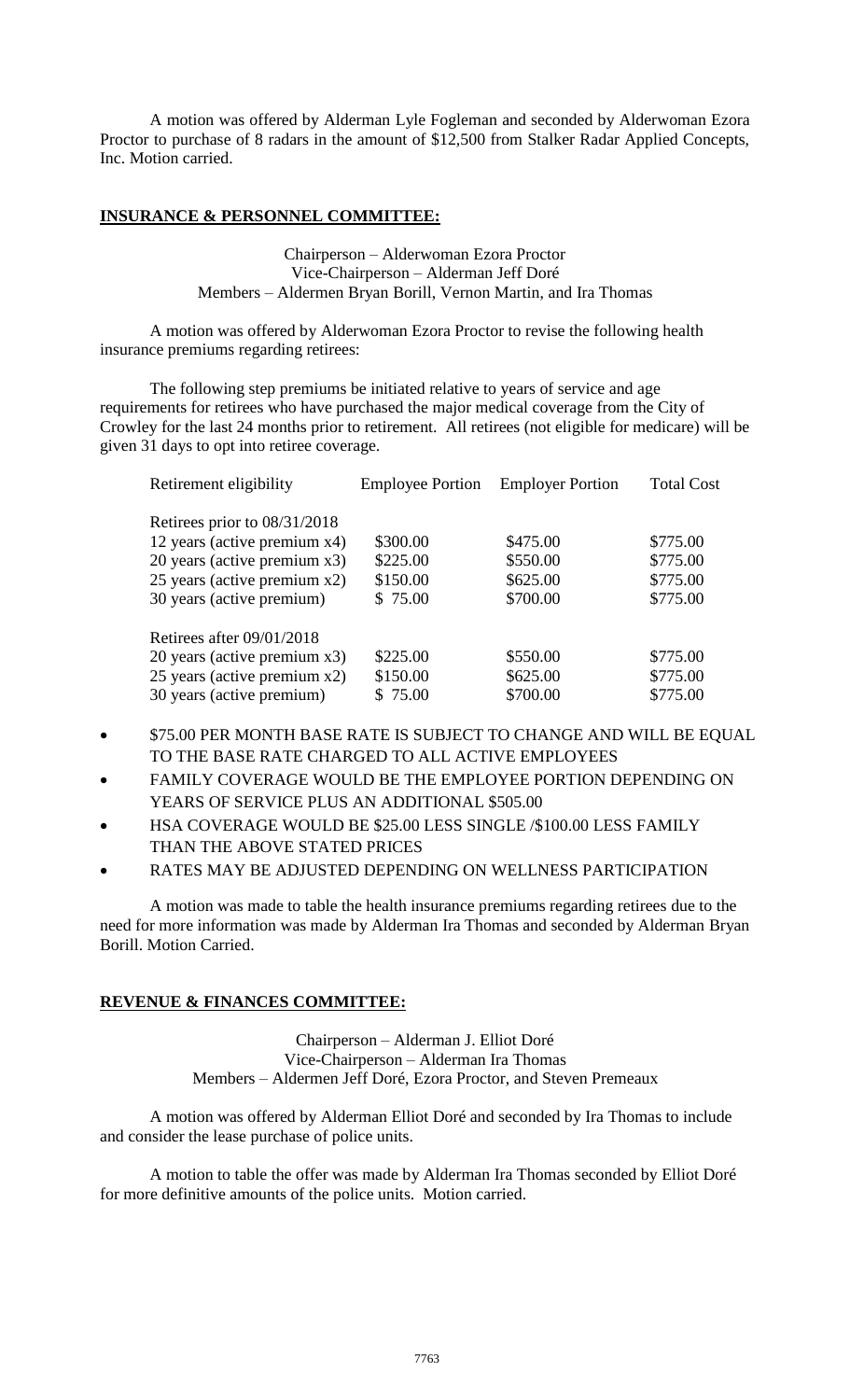A motion was offered by Alderman Lyle Fogleman and seconded by Alderwoman Ezora Proctor to purchase of 8 radars in the amount of \$12,500 from Stalker Radar Applied Concepts, Inc. Motion carried.

### **INSURANCE & PERSONNEL COMMITTEE:**

Chairperson – Alderwoman Ezora Proctor Vice-Chairperson – Alderman Jeff Doré Members – Aldermen Bryan Borill, Vernon Martin, and Ira Thomas

A motion was offered by Alderwoman Ezora Proctor to revise the following health insurance premiums regarding retirees:

The following step premiums be initiated relative to years of service and age requirements for retirees who have purchased the major medical coverage from the City of Crowley for the last 24 months prior to retirement. All retirees (not eligible for medicare) will be given 31 days to opt into retiree coverage.

| Retirement eligibility       | <b>Employee Portion</b> | <b>Employer Portion</b> | <b>Total Cost</b> |
|------------------------------|-------------------------|-------------------------|-------------------|
| Retirees prior to 08/31/2018 |                         |                         |                   |
| 12 years (active premium x4) | \$300.00                | \$475.00                | \$775.00          |
| 20 years (active premium x3) | \$225.00                | \$550.00                | \$775.00          |
| 25 years (active premium x2) | \$150.00                | \$625.00                | \$775.00          |
| 30 years (active premium)    | \$75.00                 | \$700.00                | \$775.00          |
| Retirees after $09/01/2018$  |                         |                         |                   |
| 20 years (active premium x3) | \$225.00                | \$550.00                | \$775.00          |
| 25 years (active premium x2) | \$150.00                | \$625.00                | \$775.00          |
| 30 years (active premium)    | \$75.00                 | \$700.00                | \$775.00          |

- \$75.00 PER MONTH BASE RATE IS SUBJECT TO CHANGE AND WILL BE EQUAL TO THE BASE RATE CHARGED TO ALL ACTIVE EMPLOYEES
- FAMILY COVERAGE WOULD BE THE EMPLOYEE PORTION DEPENDING ON YEARS OF SERVICE PLUS AN ADDITIONAL \$505.00
- HSA COVERAGE WOULD BE \$25.00 LESS SINGLE /\$100.00 LESS FAMILY THAN THE ABOVE STATED PRICES
- RATES MAY BE ADJUSTED DEPENDING ON WELLNESS PARTICIPATION

A motion was made to table the health insurance premiums regarding retirees due to the need for more information was made by Alderman Ira Thomas and seconded by Alderman Bryan Borill. Motion Carried.

### **REVENUE & FINANCES COMMITTEE:**

Chairperson – Alderman J. Elliot Doré Vice-Chairperson – Alderman Ira Thomas Members – Aldermen Jeff Doré, Ezora Proctor, and Steven Premeaux

A motion was offered by Alderman Elliot Doré and seconded by Ira Thomas to include and consider the lease purchase of police units.

A motion to table the offer was made by Alderman Ira Thomas seconded by Elliot Doré for more definitive amounts of the police units. Motion carried.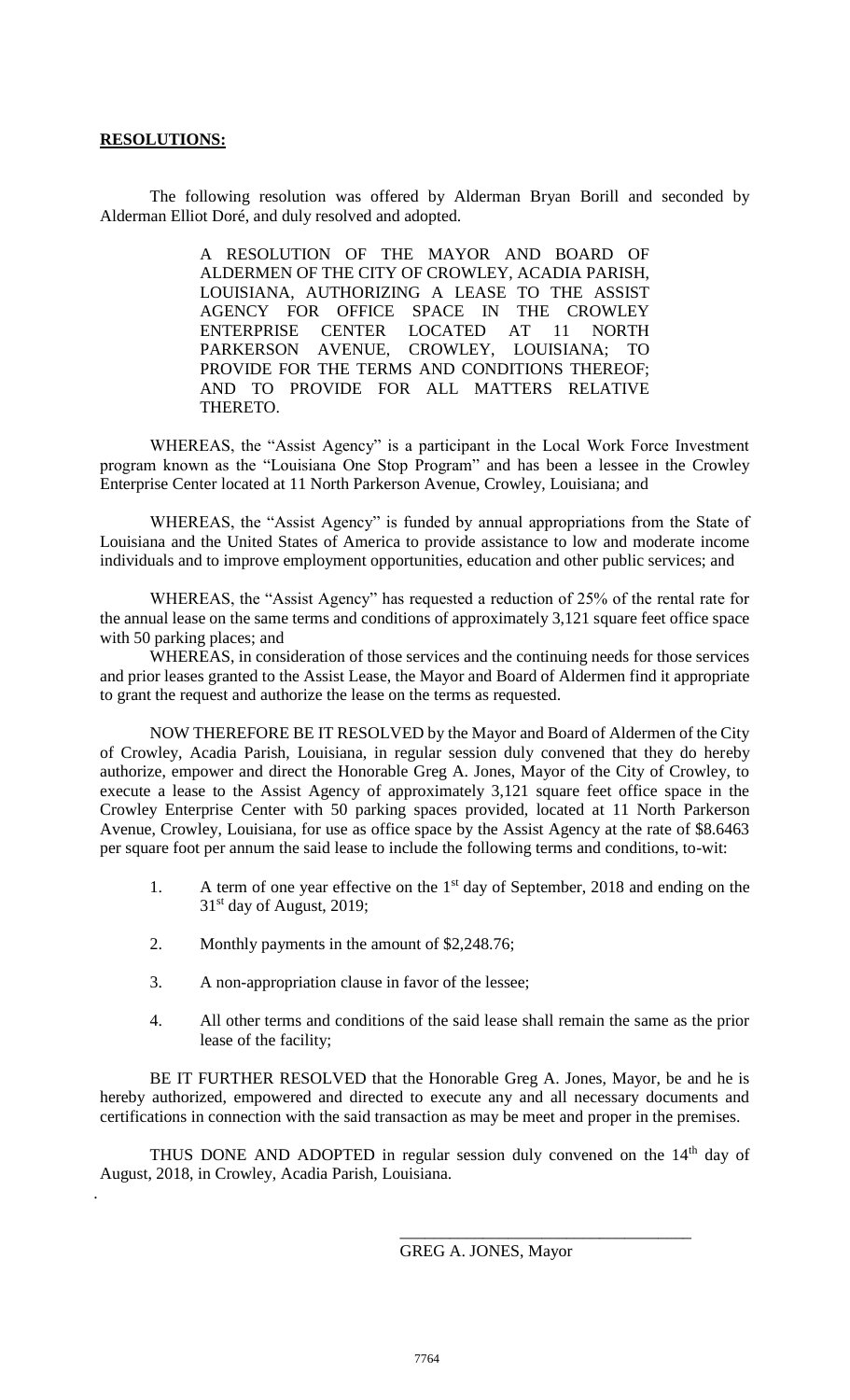### **RESOLUTIONS:**

.

The following resolution was offered by Alderman Bryan Borill and seconded by Alderman Elliot Doré, and duly resolved and adopted.

> A RESOLUTION OF THE MAYOR AND BOARD OF ALDERMEN OF THE CITY OF CROWLEY, ACADIA PARISH, LOUISIANA, AUTHORIZING A LEASE TO THE ASSIST AGENCY FOR OFFICE SPACE IN THE CROWLEY ENTERPRISE CENTER LOCATED AT 11 NORTH PARKERSON AVENUE, CROWLEY, LOUISIANA; TO PROVIDE FOR THE TERMS AND CONDITIONS THEREOF; AND TO PROVIDE FOR ALL MATTERS RELATIVE THERETO.

WHEREAS, the "Assist Agency" is a participant in the Local Work Force Investment program known as the "Louisiana One Stop Program" and has been a lessee in the Crowley Enterprise Center located at 11 North Parkerson Avenue, Crowley, Louisiana; and

WHEREAS, the "Assist Agency" is funded by annual appropriations from the State of Louisiana and the United States of America to provide assistance to low and moderate income individuals and to improve employment opportunities, education and other public services; and

WHEREAS, the "Assist Agency" has requested a reduction of 25% of the rental rate for the annual lease on the same terms and conditions of approximately 3,121 square feet office space with 50 parking places; and

WHEREAS, in consideration of those services and the continuing needs for those services and prior leases granted to the Assist Lease, the Mayor and Board of Aldermen find it appropriate to grant the request and authorize the lease on the terms as requested.

NOW THEREFORE BE IT RESOLVED by the Mayor and Board of Aldermen of the City of Crowley, Acadia Parish, Louisiana, in regular session duly convened that they do hereby authorize, empower and direct the Honorable Greg A. Jones, Mayor of the City of Crowley, to execute a lease to the Assist Agency of approximately 3,121 square feet office space in the Crowley Enterprise Center with 50 parking spaces provided, located at 11 North Parkerson Avenue, Crowley, Louisiana, for use as office space by the Assist Agency at the rate of \$8.6463 per square foot per annum the said lease to include the following terms and conditions, to-wit:

- 1. A term of one year effective on the 1<sup>st</sup> day of September, 2018 and ending on the  $31<sup>st</sup>$  day of August, 2019;
- 2. Monthly payments in the amount of \$2,248.76;
- 3. A non-appropriation clause in favor of the lessee;
- 4. All other terms and conditions of the said lease shall remain the same as the prior lease of the facility;

BE IT FURTHER RESOLVED that the Honorable Greg A. Jones, Mayor, be and he is hereby authorized, empowered and directed to execute any and all necessary documents and certifications in connection with the said transaction as may be meet and proper in the premises.

THUS DONE AND ADOPTED in regular session duly convened on the  $14<sup>th</sup>$  day of August, 2018, in Crowley, Acadia Parish, Louisiana.

\_\_\_\_\_\_\_\_\_\_\_\_\_\_\_\_\_\_\_\_\_\_\_\_\_\_\_\_\_\_\_\_\_\_\_

GREG A. JONES, Mayor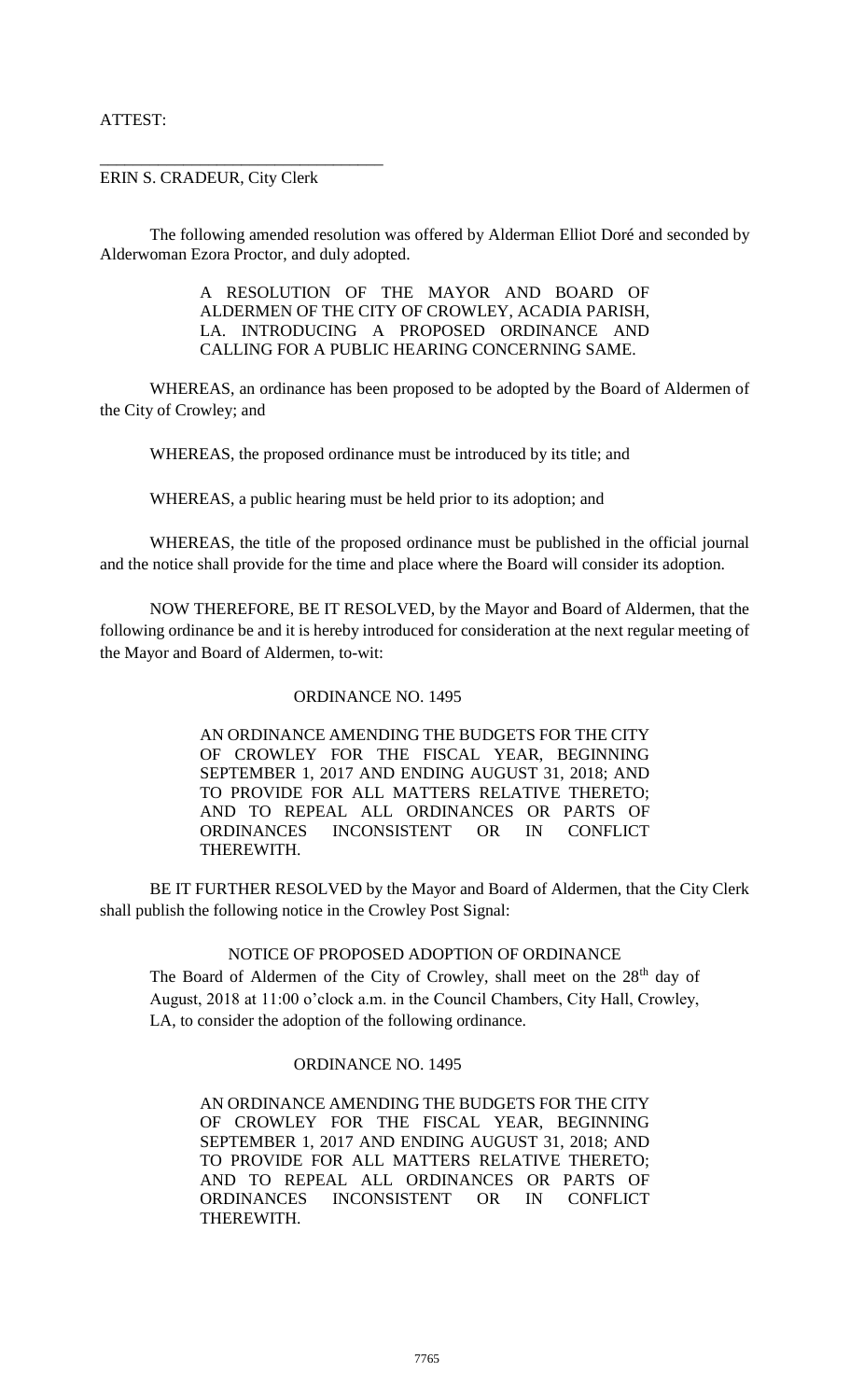## ATTEST:

### ERIN S. CRADEUR, City Clerk

\_\_\_\_\_\_\_\_\_\_\_\_\_\_\_\_\_\_\_\_\_\_\_\_\_\_\_\_\_\_\_\_\_\_

The following amended resolution was offered by Alderman Elliot Doré and seconded by Alderwoman Ezora Proctor, and duly adopted.

> A RESOLUTION OF THE MAYOR AND BOARD OF ALDERMEN OF THE CITY OF CROWLEY, ACADIA PARISH, LA. INTRODUCING A PROPOSED ORDINANCE AND CALLING FOR A PUBLIC HEARING CONCERNING SAME.

WHEREAS, an ordinance has been proposed to be adopted by the Board of Aldermen of the City of Crowley; and

WHEREAS, the proposed ordinance must be introduced by its title; and

WHEREAS, a public hearing must be held prior to its adoption; and

WHEREAS, the title of the proposed ordinance must be published in the official journal and the notice shall provide for the time and place where the Board will consider its adoption.

NOW THEREFORE, BE IT RESOLVED, by the Mayor and Board of Aldermen, that the following ordinance be and it is hereby introduced for consideration at the next regular meeting of the Mayor and Board of Aldermen, to-wit:

### ORDINANCE NO. 1495

AN ORDINANCE AMENDING THE BUDGETS FOR THE CITY OF CROWLEY FOR THE FISCAL YEAR, BEGINNING SEPTEMBER 1, 2017 AND ENDING AUGUST 31, 2018; AND TO PROVIDE FOR ALL MATTERS RELATIVE THERETO; AND TO REPEAL ALL ORDINANCES OR PARTS OF ORDINANCES INCONSISTENT OR IN CONFLICT THEREWITH.

BE IT FURTHER RESOLVED by the Mayor and Board of Aldermen, that the City Clerk shall publish the following notice in the Crowley Post Signal:

### NOTICE OF PROPOSED ADOPTION OF ORDINANCE

The Board of Aldermen of the City of Crowley, shall meet on the 28<sup>th</sup> day of August, 2018 at 11:00 o'clock a.m. in the Council Chambers, City Hall, Crowley, LA, to consider the adoption of the following ordinance.

### ORDINANCE NO. 1495

AN ORDINANCE AMENDING THE BUDGETS FOR THE CITY OF CROWLEY FOR THE FISCAL YEAR, BEGINNING SEPTEMBER 1, 2017 AND ENDING AUGUST 31, 2018; AND TO PROVIDE FOR ALL MATTERS RELATIVE THERETO; AND TO REPEAL ALL ORDINANCES OR PARTS OF ORDINANCES INCONSISTENT OR IN CONFLICT THEREWITH.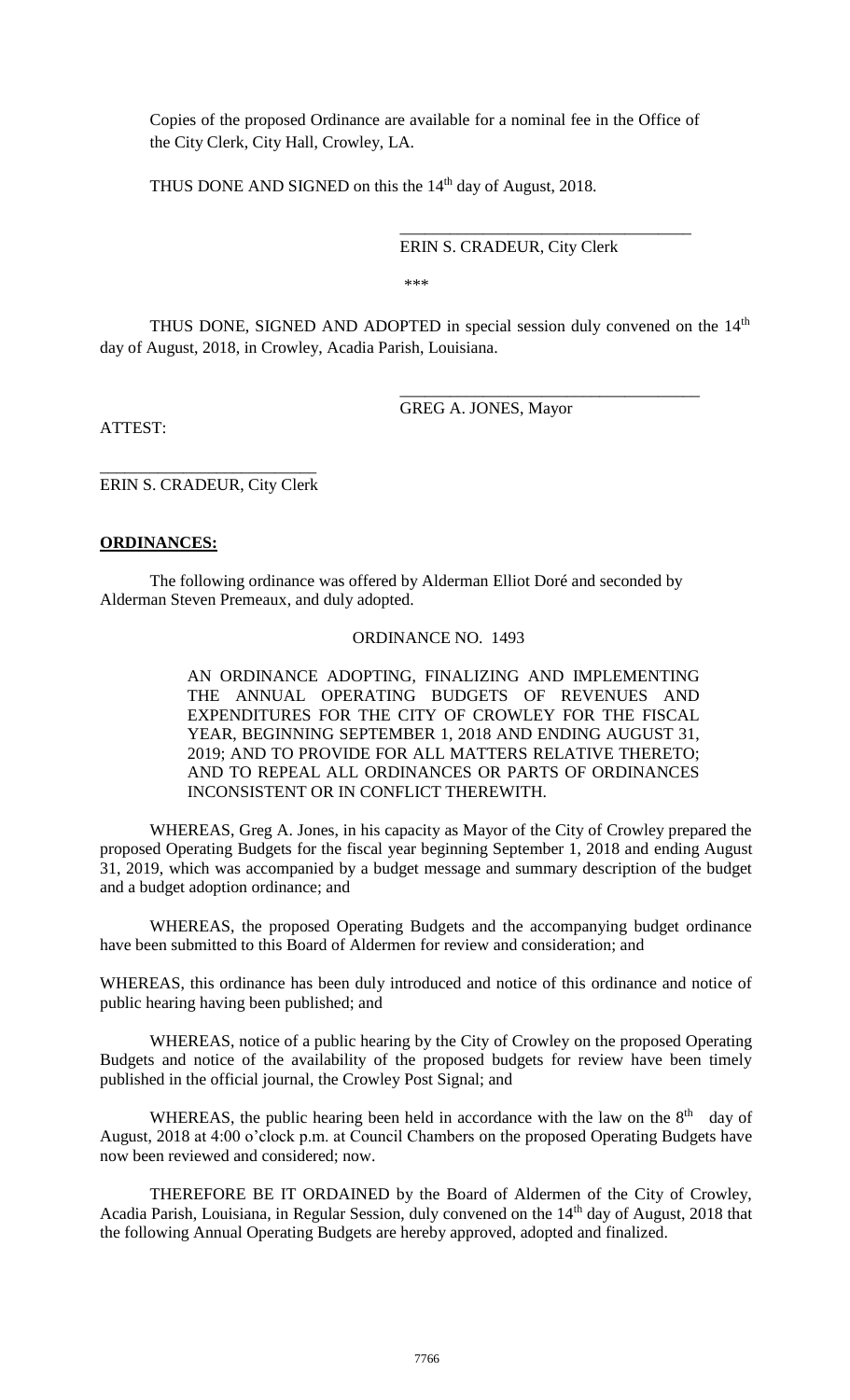Copies of the proposed Ordinance are available for a nominal fee in the Office of the City Clerk, City Hall, Crowley, LA.

THUS DONE AND SIGNED on this the 14<sup>th</sup> day of August, 2018.

ERIN S. CRADEUR, City Clerk

\_\_\_\_\_\_\_\_\_\_\_\_\_\_\_\_\_\_\_\_\_\_\_\_\_\_\_\_\_\_\_\_\_\_\_

\_\_\_\_\_\_\_\_\_\_\_\_\_\_\_\_\_\_\_\_\_\_\_\_\_\_\_\_\_\_\_\_\_\_\_\_

\*\*\*

THUS DONE, SIGNED AND ADOPTED in special session duly convened on the  $14<sup>th</sup>$ day of August, 2018, in Crowley, Acadia Parish, Louisiana.

GREG A. JONES, Mayor

ATTEST:

\_\_\_\_\_\_\_\_\_\_\_\_\_\_\_\_\_\_\_\_\_\_\_\_\_\_ ERIN S. CRADEUR, City Clerk

### **ORDINANCES:**

The following ordinance was offered by Alderman Elliot Doré and seconded by Alderman Steven Premeaux, and duly adopted.

### ORDINANCE NO. 1493

AN ORDINANCE ADOPTING, FINALIZING AND IMPLEMENTING THE ANNUAL OPERATING BUDGETS OF REVENUES AND EXPENDITURES FOR THE CITY OF CROWLEY FOR THE FISCAL YEAR, BEGINNING SEPTEMBER 1, 2018 AND ENDING AUGUST 31, 2019; AND TO PROVIDE FOR ALL MATTERS RELATIVE THERETO; AND TO REPEAL ALL ORDINANCES OR PARTS OF ORDINANCES INCONSISTENT OR IN CONFLICT THEREWITH.

WHEREAS, Greg A. Jones, in his capacity as Mayor of the City of Crowley prepared the proposed Operating Budgets for the fiscal year beginning September 1, 2018 and ending August 31, 2019, which was accompanied by a budget message and summary description of the budget and a budget adoption ordinance; and

WHEREAS, the proposed Operating Budgets and the accompanying budget ordinance have been submitted to this Board of Aldermen for review and consideration; and

WHEREAS, this ordinance has been duly introduced and notice of this ordinance and notice of public hearing having been published; and

WHEREAS, notice of a public hearing by the City of Crowley on the proposed Operating Budgets and notice of the availability of the proposed budgets for review have been timely published in the official journal, the Crowley Post Signal; and

WHEREAS, the public hearing been held in accordance with the law on the  $8<sup>th</sup>$  day of August, 2018 at 4:00 o'clock p.m. at Council Chambers on the proposed Operating Budgets have now been reviewed and considered; now.

THEREFORE BE IT ORDAINED by the Board of Aldermen of the City of Crowley, Acadia Parish, Louisiana, in Regular Session, duly convened on the 14<sup>th</sup> day of August, 2018 that the following Annual Operating Budgets are hereby approved, adopted and finalized.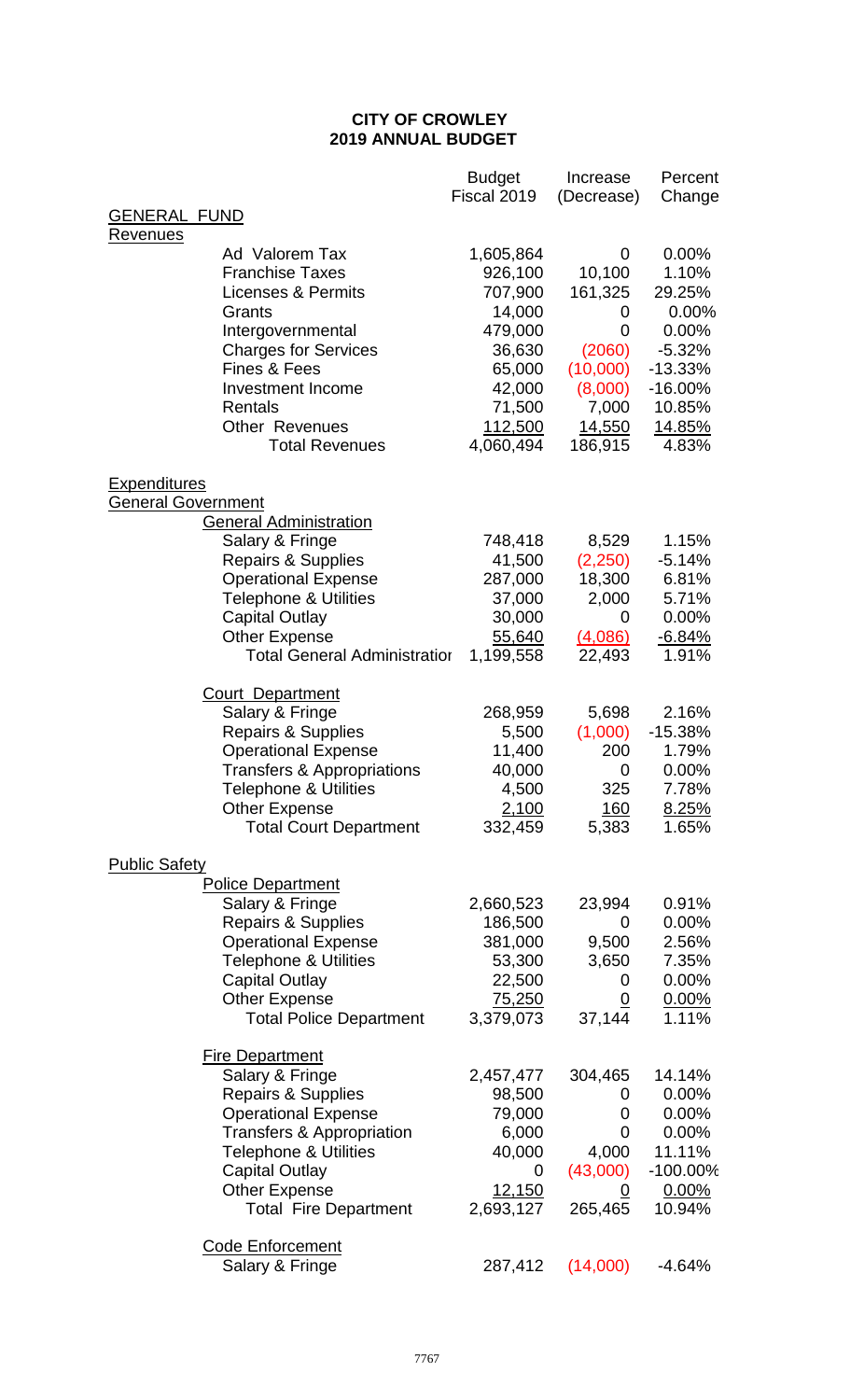# **CITY OF CROWLEY 2019 ANNUAL BUDGET**

|                           |                                                                                                                                                                                                                                                             | <b>Budget</b><br>Fiscal 2019                                                                                         | Increase<br>(Decrease)                                                                                 | Percent<br>Change                                                                                                    |
|---------------------------|-------------------------------------------------------------------------------------------------------------------------------------------------------------------------------------------------------------------------------------------------------------|----------------------------------------------------------------------------------------------------------------------|--------------------------------------------------------------------------------------------------------|----------------------------------------------------------------------------------------------------------------------|
| <b>GENERAL FUND</b>       |                                                                                                                                                                                                                                                             |                                                                                                                      |                                                                                                        |                                                                                                                      |
| <u>Revenues</u>           | Ad Valorem Tax<br><b>Franchise Taxes</b><br><b>Licenses &amp; Permits</b><br>Grants<br>Intergovernmental<br><b>Charges for Services</b><br><b>Fines &amp; Fees</b><br><b>Investment Income</b><br>Rentals<br><b>Other Revenues</b><br><b>Total Revenues</b> | 1,605,864<br>926,100<br>707,900<br>14,000<br>479,000<br>36,630<br>65,000<br>42,000<br>71,500<br>112,500<br>4,060,494 | 0<br>10,100<br>161,325<br>0<br>0<br>(2060)<br>(10,000)<br>(8,000)<br>7,000<br><u>14,550</u><br>186,915 | 0.00%<br>1.10%<br>29.25%<br>0.00%<br>0.00%<br>$-5.32%$<br>$-13.33%$<br>$-16.00%$<br>10.85%<br><u>14.85%</u><br>4.83% |
| <b>Expenditures</b>       |                                                                                                                                                                                                                                                             |                                                                                                                      |                                                                                                        |                                                                                                                      |
| <b>General Government</b> |                                                                                                                                                                                                                                                             |                                                                                                                      |                                                                                                        |                                                                                                                      |
|                           | <b>General Administration</b><br>Salary & Fringe<br><b>Repairs &amp; Supplies</b><br><b>Operational Expense</b><br><b>Telephone &amp; Utilities</b><br><b>Capital Outlay</b><br><b>Other Expense</b><br><b>Total General Administratior</b>                 | 748,418<br>41,500<br>287,000<br>37,000<br>30,000<br>55,640<br>1,199,558                                              | 8,529<br>(2,250)<br>18,300<br>2,000<br>$\overline{0}$<br>(4,086)<br>22,493                             | 1.15%<br>$-5.14%$<br>6.81%<br>5.71%<br>0.00%<br>$-6.84%$<br>1.91%                                                    |
|                           | <b>Court Department</b>                                                                                                                                                                                                                                     |                                                                                                                      |                                                                                                        |                                                                                                                      |
|                           | Salary & Fringe<br><b>Repairs &amp; Supplies</b><br><b>Operational Expense</b><br>Transfers & Appropriations<br>Telephone & Utilities<br><b>Other Expense</b><br><b>Total Court Department</b>                                                              | 268,959<br>5,500<br>11,400<br>40,000<br>4,500<br>2,100<br>332,459                                                    | 5,698<br>(1,000)<br>200<br>0<br>325<br><u> 160</u><br>5,383                                            | 2.16%<br>$-15.38%$<br>1.79%<br>0.00%<br>7.78%<br>8.25%<br>1.65%                                                      |
| <b>Public Safety</b>      |                                                                                                                                                                                                                                                             |                                                                                                                      |                                                                                                        |                                                                                                                      |
|                           | <b>Police Department</b><br>Salary & Fringe<br>Repairs & Supplies<br><b>Operational Expense</b><br><b>Telephone &amp; Utilities</b><br><b>Capital Outlay</b><br><b>Other Expense</b><br><b>Total Police Department</b>                                      | 2,660,523<br>186,500<br>381,000<br>53,300<br>22,500<br>75,250<br>3,379,073                                           | 23,994<br>0<br>9,500<br>3,650<br>0<br>$\overline{0}$<br>37,144                                         | 0.91%<br>0.00%<br>2.56%<br>7.35%<br>0.00%<br>0.00%<br>1.11%                                                          |
|                           | <b>Fire Department</b><br>Salary & Fringe<br><b>Repairs &amp; Supplies</b><br><b>Operational Expense</b><br>Transfers & Appropriation<br><b>Telephone &amp; Utilities</b><br><b>Capital Outlay</b><br><b>Other Expense</b><br><b>Total Fire Department</b>  | 2,457,477<br>98,500<br>79,000<br>6,000<br>40,000<br>0<br><u>12,150</u><br>2,693,127                                  | 304,465<br>0<br>0<br>0<br>4,000<br>(43,000)<br>0<br>265,465                                            | 14.14%<br>0.00%<br>0.00%<br>0.00%<br>11.11%<br>$-100.00\%$<br>0.00%<br>10.94%                                        |
|                           | <b>Code Enforcement</b><br>Salary & Fringe                                                                                                                                                                                                                  | 287,412                                                                                                              | (14,000)                                                                                               | -4.64%                                                                                                               |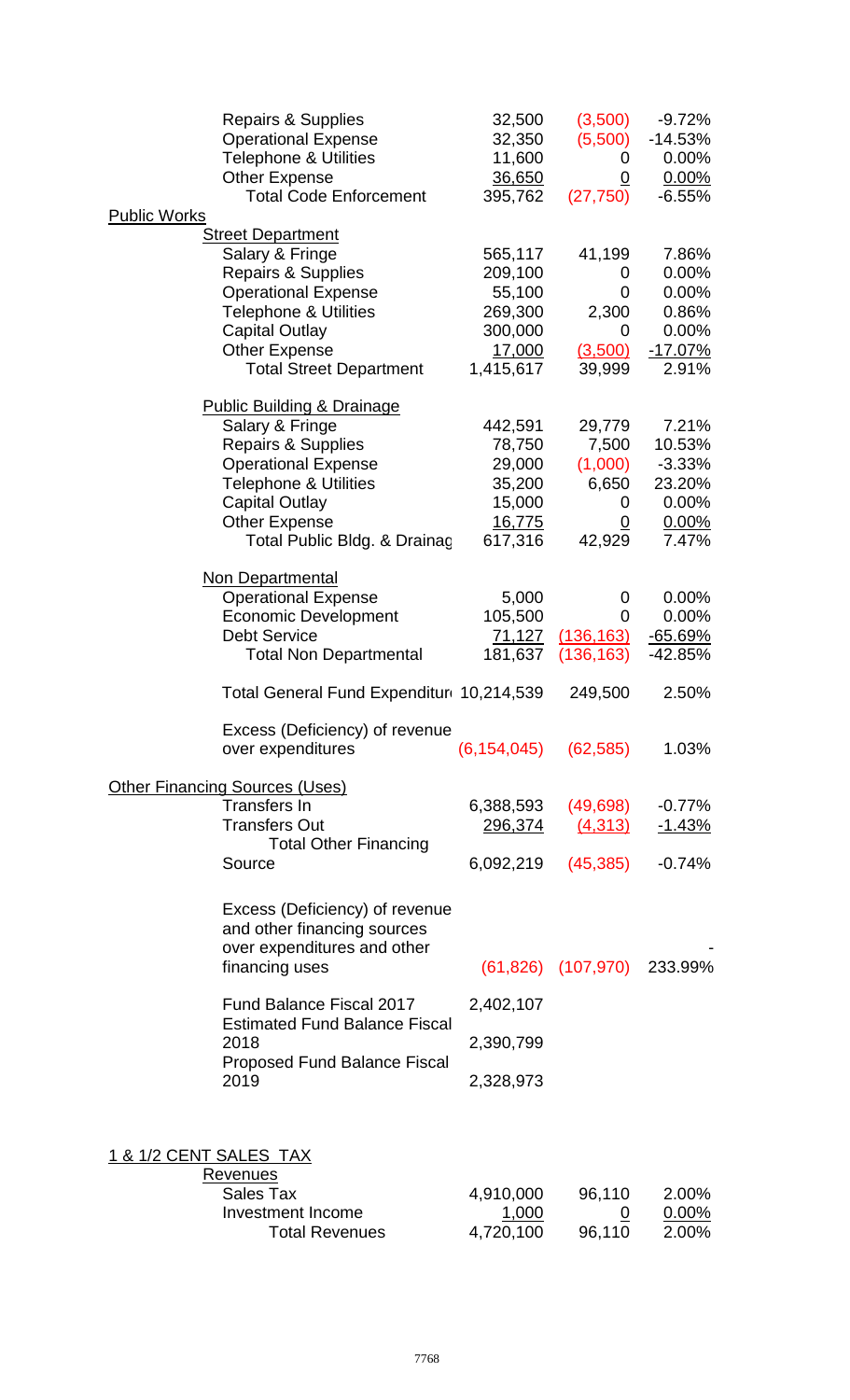|                        | Repairs & Supplies                          | 32,500                      | (3,500)                  | $-9.72%$  |
|------------------------|---------------------------------------------|-----------------------------|--------------------------|-----------|
|                        | <b>Operational Expense</b>                  | 32,350                      | (5,500)                  | $-14.53%$ |
|                        | <b>Telephone &amp; Utilities</b>            | 11,600                      | 0                        | 0.00%     |
|                        | <b>Other Expense</b>                        | 36,650                      | 0                        | 0.00%     |
|                        | <b>Total Code Enforcement</b>               | 395,762                     | (27, 750)                | $-6.55%$  |
| <b>Public Works</b>    |                                             |                             |                          |           |
|                        | <b>Street Department</b>                    |                             |                          |           |
|                        | Salary & Fringe                             | 565,117                     | 41,199                   | 7.86%     |
|                        | <b>Repairs &amp; Supplies</b>               | 209,100                     | 0                        | 0.00%     |
|                        | <b>Operational Expense</b>                  | 55,100                      | 0                        | 0.00%     |
|                        | <b>Telephone &amp; Utilities</b>            | 269,300                     | 2,300                    | 0.86%     |
|                        | <b>Capital Outlay</b>                       | 300,000                     | 0                        | 0.00%     |
|                        |                                             |                             |                          |           |
|                        | <b>Other Expense</b>                        | 17,000                      | (3,500)                  | $-17.07%$ |
|                        | <b>Total Street Department</b>              | 1,415,617                   | 39,999                   | 2.91%     |
|                        | <b>Public Building &amp; Drainage</b>       |                             |                          |           |
|                        | Salary & Fringe                             | 442,591                     | 29,779                   | 7.21%     |
|                        |                                             | 78,750                      | 7,500                    |           |
|                        | Repairs & Supplies                          |                             |                          | 10.53%    |
|                        | <b>Operational Expense</b>                  | 29,000                      | (1,000)                  | $-3.33%$  |
|                        | <b>Telephone &amp; Utilities</b>            | 35,200                      | 6,650                    | 23.20%    |
|                        | <b>Capital Outlay</b>                       | 15,000                      | 0                        | 0.00%     |
|                        | <b>Other Expense</b>                        | 16,775                      | 0                        | 0.00%     |
|                        | Total Public Bldg. & Drainac                | 617,316                     | 42,929                   | 7.47%     |
|                        |                                             |                             |                          |           |
|                        | Non Departmental                            |                             |                          |           |
|                        | <b>Operational Expense</b>                  | 5,000                       | 0                        | 0.00%     |
|                        | <b>Economic Development</b>                 | 105,500                     | 0                        | 0.00%     |
|                        | <b>Debt Service</b>                         | 71,127                      | (136, 163)               | $-65.69%$ |
|                        | <b>Total Non Departmental</b>               | 181,637                     | (136, 163)               | -42.85%   |
|                        | Total General Fund Expenditur 10,214,539    |                             | 249,500                  | 2.50%     |
|                        | Excess (Deficiency) of revenue              |                             |                          |           |
|                        | over expenditures                           | $(6, 154, 045)$ $(62, 585)$ |                          | 1.03%     |
|                        |                                             |                             |                          |           |
|                        | <b>Other Financing Sources (Uses)</b>       |                             |                          |           |
|                        | Transfers In                                | 6,388,593                   | (49, 698)                | $-0.77%$  |
|                        | <b>Transfers Out</b>                        | <u>296,374</u>              | (4,313)                  | $-1.43%$  |
|                        | <b>Total Other Financing</b>                |                             |                          |           |
|                        | Source                                      | 6,092,219                   | (45, 385)                | $-0.74%$  |
|                        |                                             |                             |                          |           |
|                        | Excess (Deficiency) of revenue              |                             |                          |           |
|                        | and other financing sources                 |                             |                          |           |
|                        | over expenditures and other                 |                             |                          |           |
|                        | financing uses                              |                             | $(61, 826)$ $(107, 970)$ | 233.99%   |
|                        |                                             |                             |                          |           |
|                        | <b>Fund Balance Fiscal 2017</b>             | 2,402,107                   |                          |           |
|                        | <b>Estimated Fund Balance Fiscal</b>        |                             |                          |           |
|                        | 2018<br><b>Proposed Fund Balance Fiscal</b> | 2,390,799                   |                          |           |
|                        | 2019                                        | 2,328,973                   |                          |           |
|                        |                                             |                             |                          |           |
|                        |                                             |                             |                          |           |
| 1 & 1/2 CENT SALES TAX |                                             |                             |                          |           |
|                        | <b>Revenues</b>                             |                             |                          |           |
|                        | <b>Sales Tax</b>                            | 4,910,000                   | 96,110                   | 2.00%     |
|                        | <b>Investment Income</b>                    | 1,000                       | U                        | $0.00\%$  |
|                        | <b>Total Revenues</b>                       | 4,720,100                   | 96,110                   | 2.00%     |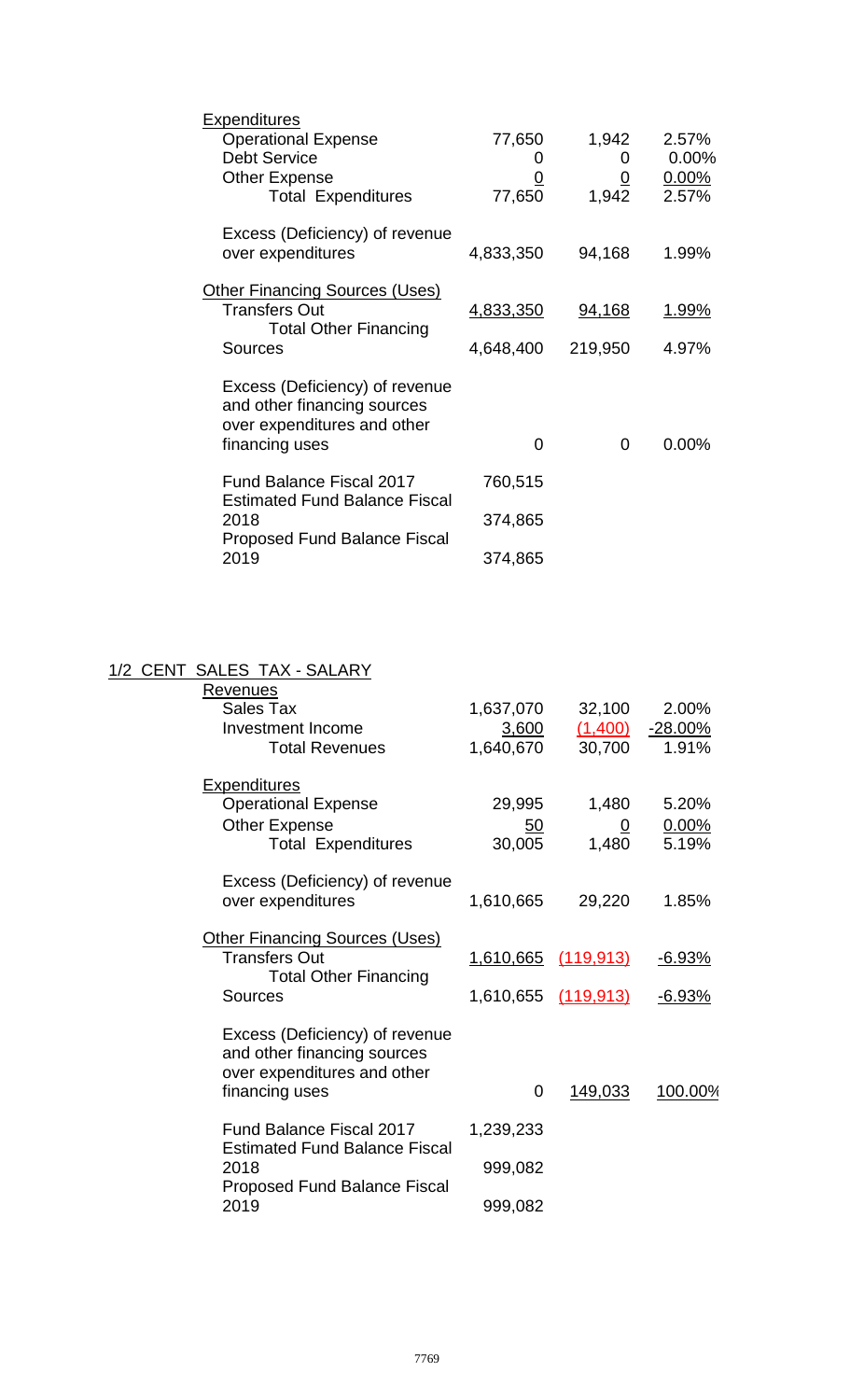| <b>Expenditures</b>                                                     |           |                 |          |
|-------------------------------------------------------------------------|-----------|-----------------|----------|
| <b>Operational Expense</b>                                              | 77,650    | 1,942           | 2.57%    |
| <b>Debt Service</b>                                                     |           | $\Omega$        | 0.00%    |
| <b>Other Expense</b>                                                    | <u>0</u>  | $\underline{0}$ | $0.00\%$ |
| <b>Total Expenditures</b>                                               | 77,650    | 1,942           | 2.57%    |
| Excess (Deficiency) of revenue<br>over expenditures                     | 4,833,350 | 94,168          | 1.99%    |
|                                                                         |           |                 |          |
| <b>Other Financing Sources (Uses)</b>                                   |           |                 |          |
| <b>Transfers Out</b><br><b>Total Other Financing</b>                    | 4,833,350 | 94,168          | 1.99%    |
| <b>Sources</b>                                                          | 4,648,400 | 219,950         | 4.97%    |
| Excess (Deficiency) of revenue<br>and other financing sources           |           |                 |          |
| over expenditures and other                                             |           |                 |          |
| financing uses                                                          | 0         | 0               | $0.00\%$ |
| <b>Fund Balance Fiscal 2017</b><br><b>Estimated Fund Balance Fiscal</b> | 760,515   |                 |          |
| 2018                                                                    | 374,865   |                 |          |
| <b>Proposed Fund Balance Fiscal</b><br>2019                             | 374,865   |                 |          |
|                                                                         |           |                 |          |

# 1/2 CENT SALES TAX - SALARY

| Revenues<br>Sales Tax<br><b>Investment Income</b><br><b>Total Revenues</b>                                                     | 1,637,070<br>3,600<br>1,640,670       | 32,100<br>(1,400)<br>30,700      | 2.00%<br>$-28.00%$<br>1.91%     |
|--------------------------------------------------------------------------------------------------------------------------------|---------------------------------------|----------------------------------|---------------------------------|
| <b>Expenditures</b><br><b>Operational Expense</b><br><b>Other Expense</b><br><b>Total Expenditures</b>                         | 29,995<br>50<br>30,005                | 1,480<br>$\overline{0}$<br>1,480 | 5.20%<br>0.00%<br>5.19%         |
| Excess (Deficiency) of revenue<br>over expenditures                                                                            | 1,610,665                             | 29,220                           | 1.85%                           |
| <b>Other Financing Sources (Uses)</b><br><b>Transfers Out</b><br><b>Total Other Financing</b>                                  | <u>1,610,665</u>                      | <u>(119,913)</u>                 | <u>-6.93%</u>                   |
| Sources<br>Excess (Deficiency) of revenue<br>and other financing sources<br>over expenditures and other<br>financing uses      | 1,610,655 (119,913)<br>$\overline{0}$ | 149,033                          | <u>-6.93%</u><br><u>100.00%</u> |
| <b>Fund Balance Fiscal 2017</b><br><b>Estimated Fund Balance Fiscal</b><br>2018<br><b>Proposed Fund Balance Fiscal</b><br>2019 | 1,239,233<br>999,082<br>999,082       |                                  |                                 |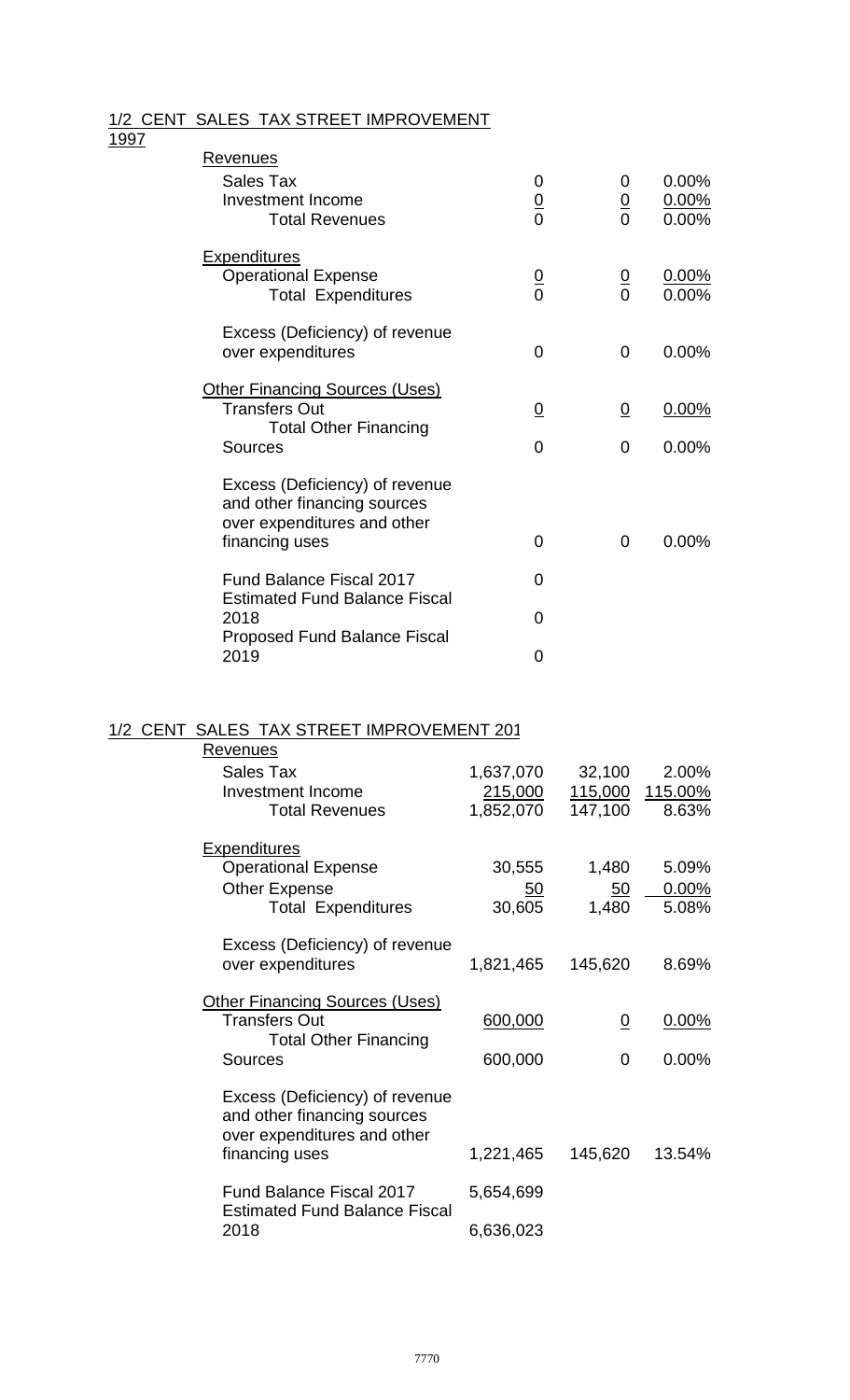### 1/2 CENT SALES TAX STREET IMPROVEMENT

#### 1997

| <u>Revenues</u>                                                                                                |                    |                    |                            |
|----------------------------------------------------------------------------------------------------------------|--------------------|--------------------|----------------------------|
| Sales Tax<br>Investment Income<br><b>Total Revenues</b>                                                        | 0<br>$\frac{0}{0}$ | 0<br>$\frac{0}{0}$ | 0.00%<br>$0.00\%$<br>0.00% |
|                                                                                                                |                    |                    |                            |
| <b>Expenditures</b><br><b>Operational Expense</b><br><b>Total Expenditures</b>                                 | $\frac{0}{0}$      | $\frac{0}{0}$      | 0.00%<br>0.00%             |
| Excess (Deficiency) of revenue<br>over expenditures                                                            | $\overline{0}$     | 0                  | 0.00%                      |
| <b>Other Financing Sources (Uses)</b><br><b>Transfers Out</b><br><b>Total Other Financing</b>                  | $\overline{0}$     | $\overline{0}$     | 0.00%                      |
| <b>Sources</b>                                                                                                 | 0                  | 0                  | 0.00%                      |
| Excess (Deficiency) of revenue<br>and other financing sources<br>over expenditures and other<br>financing uses | 0                  | 0                  | 0.00%                      |
| <b>Fund Balance Fiscal 2017</b><br><b>Estimated Fund Balance Fiscal</b>                                        | 0                  |                    |                            |
| 2018                                                                                                           | 0                  |                    |                            |
| <b>Proposed Fund Balance Fiscal</b><br>2019                                                                    | 0                  |                    |                            |

#### 1/2 CENT SALES TAX STREET IMPROVEMENT 2012

| Revenues                                                                |           |                 |                 |
|-------------------------------------------------------------------------|-----------|-----------------|-----------------|
| Sales Tax                                                               | 1,637,070 | 32,100          | 2.00%           |
| <b>Investment Income</b>                                                | 215,000   |                 | 115,000 115.00% |
| <b>Total Revenues</b>                                                   | 1,852,070 | 147,100         | 8.63%           |
| <b>Expenditures</b>                                                     |           |                 |                 |
| <b>Operational Expense</b>                                              | 30,555    | 1,480           | 5.09%           |
| <b>Other Expense</b>                                                    | <u>50</u> | 50 <sub>2</sub> | 0.00%           |
| <b>Total Expenditures</b>                                               | 30,605    | 1,480           | 5.08%           |
| Excess (Deficiency) of revenue                                          |           |                 |                 |
| over expenditures                                                       | 1,821,465 | 145,620         | 8.69%           |
|                                                                         |           |                 |                 |
| <b>Other Financing Sources (Uses)</b><br><b>Transfers Out</b>           |           |                 |                 |
| <b>Total Other Financing</b>                                            | 600,000   | <u>0</u>        | $0.00\%$        |
| <b>Sources</b>                                                          | 600,000   | 0               | $0.00\%$        |
|                                                                         |           |                 |                 |
| Excess (Deficiency) of revenue<br>and other financing sources           |           |                 |                 |
| over expenditures and other                                             |           |                 |                 |
| financing uses                                                          | 1,221,465 | 145,620         | 13.54%          |
|                                                                         |           |                 |                 |
| <b>Fund Balance Fiscal 2017</b><br><b>Estimated Fund Balance Fiscal</b> | 5,654,699 |                 |                 |
| 2018                                                                    | 6,636,023 |                 |                 |
|                                                                         |           |                 |                 |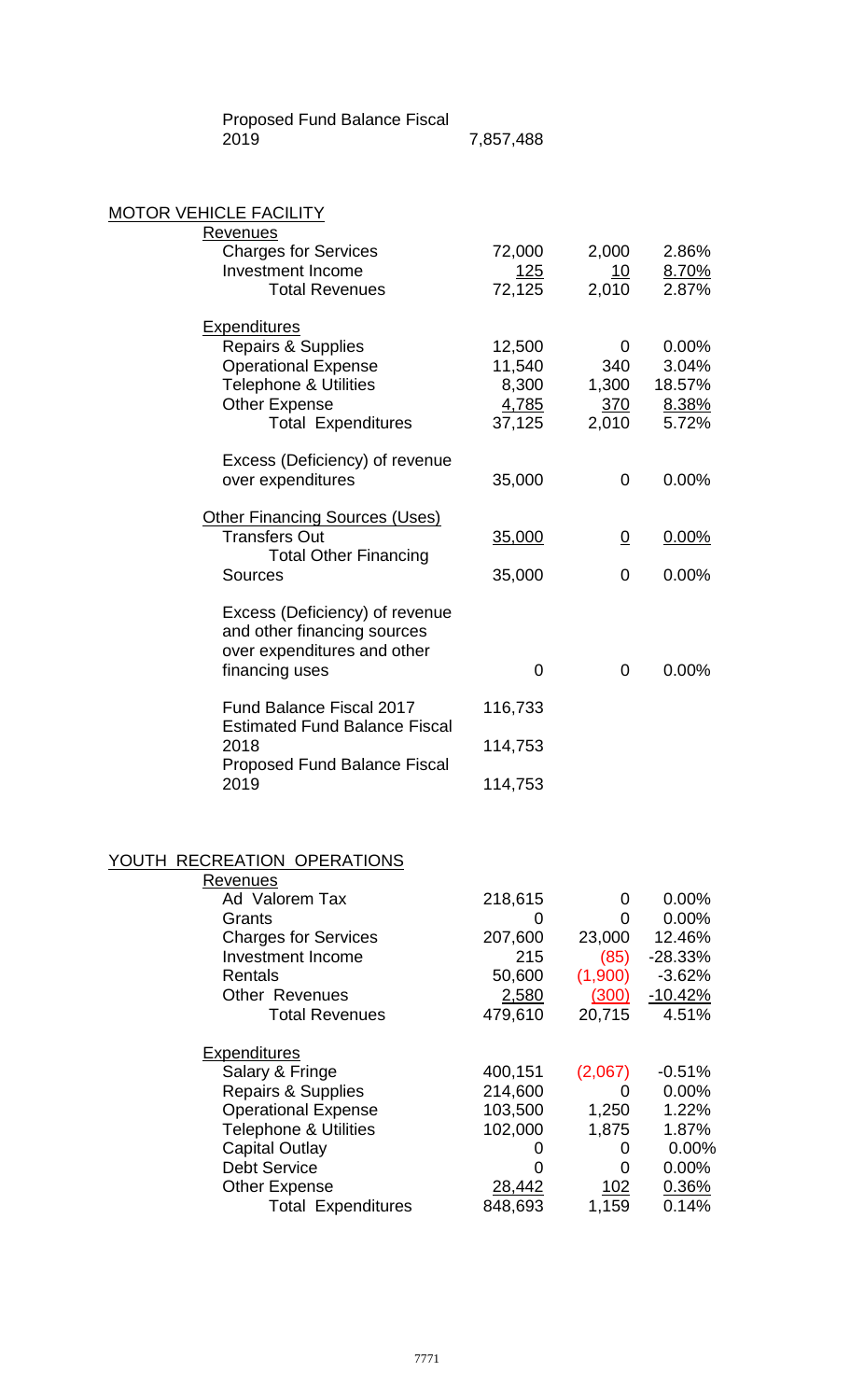Proposed Fund Balance Fiscal

7,857,488

### MOTOR VEHICLE FACILITY

| <b>Revenues</b>                             |         |          |          |
|---------------------------------------------|---------|----------|----------|
| <b>Charges for Services</b>                 | 72,000  | 2,000    | 2.86%    |
| <b>Investment Income</b>                    | 125     | 10       | 8.70%    |
| <b>Total Revenues</b>                       | 72,125  | 2,010    | 2.87%    |
| <b>Expenditures</b>                         |         |          |          |
| Repairs & Supplies                          | 12,500  | 0        | 0.00%    |
| <b>Operational Expense</b>                  | 11,540  | 340      | 3.04%    |
| <b>Telephone &amp; Utilities</b>            | 8,300   | 1,300    | 18.57%   |
| <b>Other Expense</b>                        | 4,785   | 370      | 8.38%    |
| <b>Total Expenditures</b>                   | 37,125  | 2,010    | 5.72%    |
| Excess (Deficiency) of revenue              |         |          |          |
| over expenditures                           | 35,000  | 0        | 0.00%    |
| <b>Other Financing Sources (Uses)</b>       |         |          |          |
| <b>Transfers Out</b>                        | 35,000  | <u>0</u> | $0.00\%$ |
| <b>Total Other Financing</b>                |         |          |          |
| <b>Sources</b>                              | 35,000  | 0        | 0.00%    |
| Excess (Deficiency) of revenue              |         |          |          |
| and other financing sources                 |         |          |          |
| over expenditures and other                 |         |          |          |
| financing uses                              | 0       | 0        | 0.00%    |
| <b>Fund Balance Fiscal 2017</b>             | 116,733 |          |          |
| <b>Estimated Fund Balance Fiscal</b>        |         |          |          |
| 2018<br><b>Proposed Fund Balance Fiscal</b> | 114,753 |          |          |
| 2019                                        | 114,753 |          |          |
|                                             |         |          |          |
|                                             |         |          |          |
| PECDEATION ODERATIONS                       |         |          |          |

### YOUTH RECREATION OPERATIONS

| Revenues                         |         |                   |           |
|----------------------------------|---------|-------------------|-----------|
| Ad Valorem Tax                   | 218,615 | $\Omega$          | $0.00\%$  |
| Grants                           |         | O                 | 0.00%     |
| <b>Charges for Services</b>      | 207,600 | 23,000            | 12.46%    |
| <b>Investment Income</b>         | 215     | (85)              | $-28.33%$ |
| Rentals                          | 50,600  | (1,900)           | $-3.62%$  |
| Other Revenues                   | 2,580   | (300)             | $-10.42%$ |
| <b>Total Revenues</b>            | 479,610 | 20,715            | 4.51%     |
| <b>Expenditures</b>              |         |                   |           |
| Salary & Fringe                  | 400,151 | (2,067)           | $-0.51%$  |
| <b>Repairs &amp; Supplies</b>    | 214,600 | $\mathbf{\Omega}$ | 0.00%     |
| <b>Operational Expense</b>       | 103,500 | 1,250             | 1.22%     |
| <b>Telephone &amp; Utilities</b> | 102,000 | 1,875             | 1.87%     |
| Capital Outlay                   | 0       | $\Omega$          | 0.00%     |
| <b>Debt Service</b>              |         | 0                 | 0.00%     |
| <b>Other Expense</b>             | 28,442  | <u>102</u>        | 0.36%     |
| <b>Total Expenditures</b>        | 848,693 | 1,159             | 0.14%     |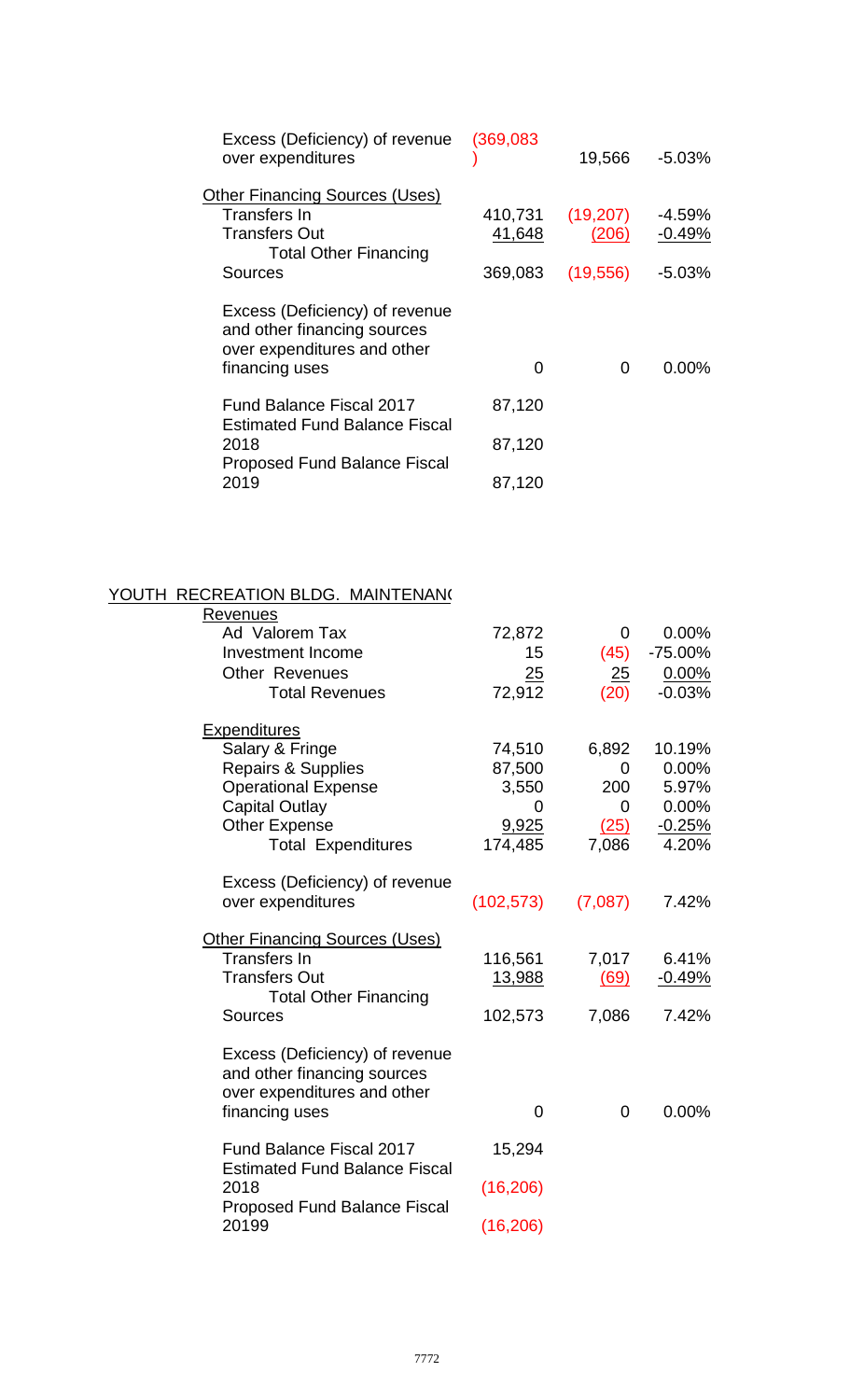| Excess (Deficiency) of revenue<br>over expenditures                                          | (369,083) | 19,566    | $-5.03%$  |
|----------------------------------------------------------------------------------------------|-----------|-----------|-----------|
| <b>Other Financing Sources (Uses)</b>                                                        |           |           |           |
| <b>Transfers In</b>                                                                          | 410,731   | (19,207)  | $-4.59\%$ |
| <b>Transfers Out</b><br><b>Total Other Financing</b>                                         | 41,648    | (206)     | $-0.49%$  |
| Sources                                                                                      | 369,083   | (19, 556) | $-5.03%$  |
| Excess (Deficiency) of revenue<br>and other financing sources<br>over expenditures and other |           |           |           |
| financing uses                                                                               | 0         | 0         | $0.00\%$  |
| <b>Fund Balance Fiscal 2017</b><br><b>Estimated Fund Balance Fiscal</b>                      | 87,120    |           |           |
| 2018<br><b>Proposed Fund Balance Fiscal</b>                                                  | 87,120    |           |           |
| 2019                                                                                         | 87,120    |           |           |

### YOUTH RECREATION BLDG. MAINTENAN(

|            | 0                                                                                                         | 0.00%                                                                       |
|------------|-----------------------------------------------------------------------------------------------------------|-----------------------------------------------------------------------------|
| 15         |                                                                                                           | $-75.00%$                                                                   |
|            |                                                                                                           | 0.00%                                                                       |
| 72,912     | (20)                                                                                                      | $-0.03%$                                                                    |
|            |                                                                                                           |                                                                             |
|            |                                                                                                           | 10.19%                                                                      |
|            |                                                                                                           | 0.00%                                                                       |
|            |                                                                                                           |                                                                             |
|            |                                                                                                           | 5.97%                                                                       |
|            |                                                                                                           | 0.00%                                                                       |
|            |                                                                                                           | $-0.25%$                                                                    |
|            |                                                                                                           | 4.20%                                                                       |
|            |                                                                                                           |                                                                             |
| (102, 573) | (7,087)                                                                                                   | 7.42%                                                                       |
|            |                                                                                                           |                                                                             |
|            |                                                                                                           | 6.41%                                                                       |
|            |                                                                                                           | $-0.49%$                                                                    |
|            |                                                                                                           |                                                                             |
| 102,573    | 7,086                                                                                                     | 7.42%                                                                       |
|            |                                                                                                           |                                                                             |
|            |                                                                                                           |                                                                             |
|            |                                                                                                           |                                                                             |
|            |                                                                                                           | $0.00\%$                                                                    |
|            |                                                                                                           |                                                                             |
| 15,294     |                                                                                                           |                                                                             |
|            |                                                                                                           |                                                                             |
| (16, 206)  |                                                                                                           |                                                                             |
|            |                                                                                                           |                                                                             |
|            |                                                                                                           |                                                                             |
|            | 72,872<br>25<br>74,510<br>87,500<br>3,550<br>0<br>9,925<br>174,485<br>116,561<br>13,988<br>0<br>(16, 206) | (45)<br>25<br>6,892<br>0<br>200<br>0<br>(25)<br>7,086<br>7,017<br>(69)<br>0 |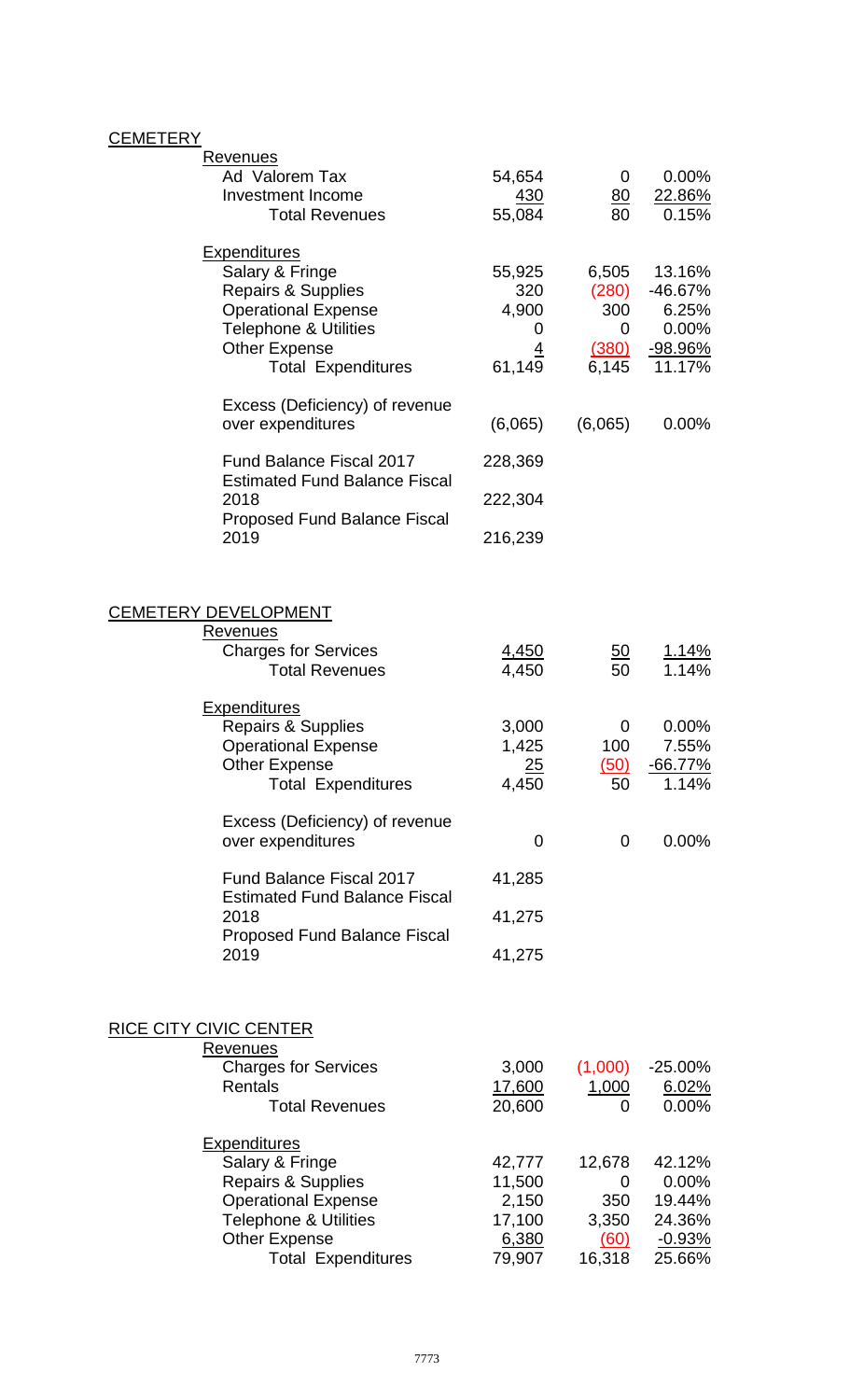# **CEMETERY**

| <b>Revenues</b><br>Ad Valorem Tax<br><b>Investment Income</b><br><b>Total Revenues</b>                                                                                                         | 54,654<br><u>430</u><br>55,084                          | 0<br>$\underline{80}$<br>80                   | $0.00\%$<br><u>22.86%</u><br>0.15%                                 |
|------------------------------------------------------------------------------------------------------------------------------------------------------------------------------------------------|---------------------------------------------------------|-----------------------------------------------|--------------------------------------------------------------------|
| <b>Expenditures</b><br>Salary & Fringe<br><b>Repairs &amp; Supplies</b><br><b>Operational Expense</b><br><b>Telephone &amp; Utilities</b><br><b>Other Expense</b><br><b>Total Expenditures</b> | 55,925<br>320<br>4,900<br>0<br>$\overline{4}$<br>61,149 | 6,505<br>(280)<br>300<br>0<br>(380)<br>6,145  | 13.16%<br>-46.67%<br>6.25%<br>$0.00\%$<br><u>-98.96%</u><br>11.17% |
| Excess (Deficiency) of revenue                                                                                                                                                                 |                                                         |                                               |                                                                    |
| over expenditures                                                                                                                                                                              | (6,065)                                                 | (6,065)                                       | $0.00\%$                                                           |
| <b>Fund Balance Fiscal 2017</b><br><b>Estimated Fund Balance Fiscal</b>                                                                                                                        | 228,369                                                 |                                               |                                                                    |
| 2018<br><b>Proposed Fund Balance Fiscal</b>                                                                                                                                                    | 222,304                                                 |                                               |                                                                    |
| 2019                                                                                                                                                                                           | 216,239                                                 |                                               |                                                                    |
| <b>CEMETERY DEVELOPMENT</b><br><b>Revenues</b><br><b>Charges for Services</b>                                                                                                                  | 4,450                                                   | <u>50</u>                                     | <u>1.14%</u>                                                       |
| <b>Total Revenues</b>                                                                                                                                                                          | 4,450                                                   | 50                                            | 1.14%                                                              |
| <b>Expenditures</b><br>Repairs & Supplies<br><b>Operational Expense</b><br><b>Other Expense</b><br><b>Total Expenditures</b>                                                                   | 3,000<br>1,425<br>25<br>4,450                           | 0<br>100<br>(50)<br>50                        | $0.00\%$<br>7.55%<br>$-66.77\%$<br>1.14%                           |
| Excess (Deficiency) of revenue<br>over expenditures                                                                                                                                            | 0                                                       | 0                                             | $0.00\%$                                                           |
| <b>Fund Balance Fiscal 2017</b>                                                                                                                                                                | 41,285                                                  |                                               |                                                                    |
| <b>Estimated Fund Balance Fiscal</b><br>2018                                                                                                                                                   | 41,275                                                  |                                               |                                                                    |
| <b>Proposed Fund Balance Fiscal</b><br>2019                                                                                                                                                    | 41,275                                                  |                                               |                                                                    |
| <b>RICE CITY CIVIC CENTER</b><br><b>Revenues</b><br><b>Charges for Services</b><br><b>Rentals</b><br><b>Total Revenues</b>                                                                     | 3,000<br>17,600<br>20,600                               | (1,000)<br>1,000<br>O                         | $-25.00\%$<br><u>6.02%</u><br>0.00%                                |
| <b>Expenditures</b><br>Salary & Fringe<br><b>Repairs &amp; Supplies</b><br><b>Operational Expense</b><br><b>Telephone &amp; Utilities</b><br><b>Other Expense</b><br><b>Total Expenditures</b> | 42,777<br>11,500<br>2,150<br>17,100<br>6,380<br>79,907  | 12,678<br>0<br>350<br>3,350<br>(60)<br>16,318 | 42.12%<br>0.00%<br>19.44%<br>24.36%<br>$-0.93%$<br>25.66%          |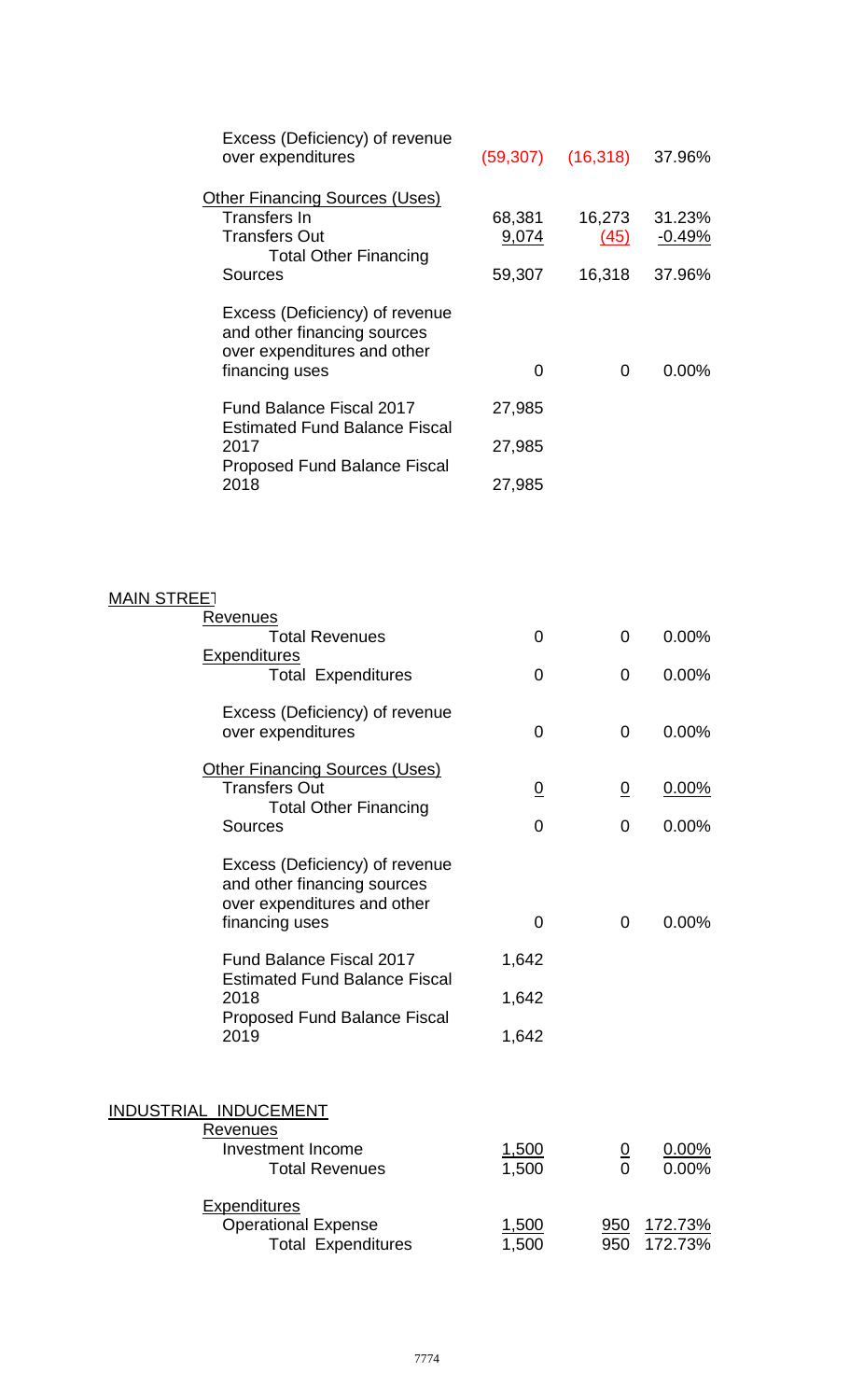| Excess (Deficiency) of revenue<br>over expenditures                                                            | (59, 307)             | $(16,318)$ 37.96%      |                           |
|----------------------------------------------------------------------------------------------------------------|-----------------------|------------------------|---------------------------|
| <b>Other Financing Sources (Uses)</b><br>Transfers In<br><b>Transfers Out</b><br><b>Total Other Financing</b>  | 68,381<br>9,074       | 16,273<br>(45)         | 31.23%<br>$-0.49%$        |
| <b>Sources</b>                                                                                                 | 59,307                | 16,318                 | 37.96%                    |
| Excess (Deficiency) of revenue<br>and other financing sources<br>over expenditures and other<br>financing uses | 0                     | $\mathbf 0$            | 0.00%                     |
| <b>Fund Balance Fiscal 2017</b>                                                                                | 27,985                |                        |                           |
| <b>Estimated Fund Balance Fiscal</b><br>2017                                                                   | 27,985                |                        |                           |
| <b>Proposed Fund Balance Fiscal</b><br>2018                                                                    | 27,985                |                        |                           |
|                                                                                                                |                       |                        |                           |
| <b>MAIN STREET</b>                                                                                             |                       |                        |                           |
| <b>Revenues</b><br><b>Total Revenues</b>                                                                       | 0                     | 0                      | 0.00%                     |
| <b>Expenditures</b><br><b>Total Expenditures</b>                                                               | $\overline{0}$        | $\Omega$               | 0.00%                     |
| Excess (Deficiency) of revenue<br>over expenditures                                                            | $\overline{0}$        | 0                      | $0.00\%$                  |
| <b>Other Financing Sources (Uses)</b><br><b>Transfers Out</b><br><b>Total Other Financing</b>                  | $\overline{0}$        | $\overline{0}$         | $0.00\%$                  |
| <b>Sources</b>                                                                                                 | $\Omega$              | $\Omega$               | $0.00\%$                  |
| Excess (Deficiency) of revenue<br>and other financing sources<br>over expenditures and other                   |                       |                        |                           |
| financing uses                                                                                                 | $\mathbf 0$           | $\mathbf{0}$           | $0.00\%$                  |
| <b>Fund Balance Fiscal 2017</b><br><b>Estimated Fund Balance Fiscal</b>                                        | 1,642                 |                        |                           |
| 2018                                                                                                           | 1,642                 |                        |                           |
| <b>Proposed Fund Balance Fiscal</b><br>2019                                                                    | 1,642                 |                        |                           |
| <b>INDUSTRIAL INDUCEMENT</b><br><b>Revenues</b>                                                                |                       |                        |                           |
| <b>Investment Income</b><br><b>Total Revenues</b>                                                              | <u>1,500</u><br>1,500 | $\frac{0}{0}$          | $0.00\%$<br>$0.00\%$      |
| <b>Expenditures</b><br><b>Operational Expense</b><br><b>Total Expenditures</b>                                 | <u>1,500</u><br>1,500 | $\frac{950}{ }$<br>950 | <u>172.73%</u><br>172.73% |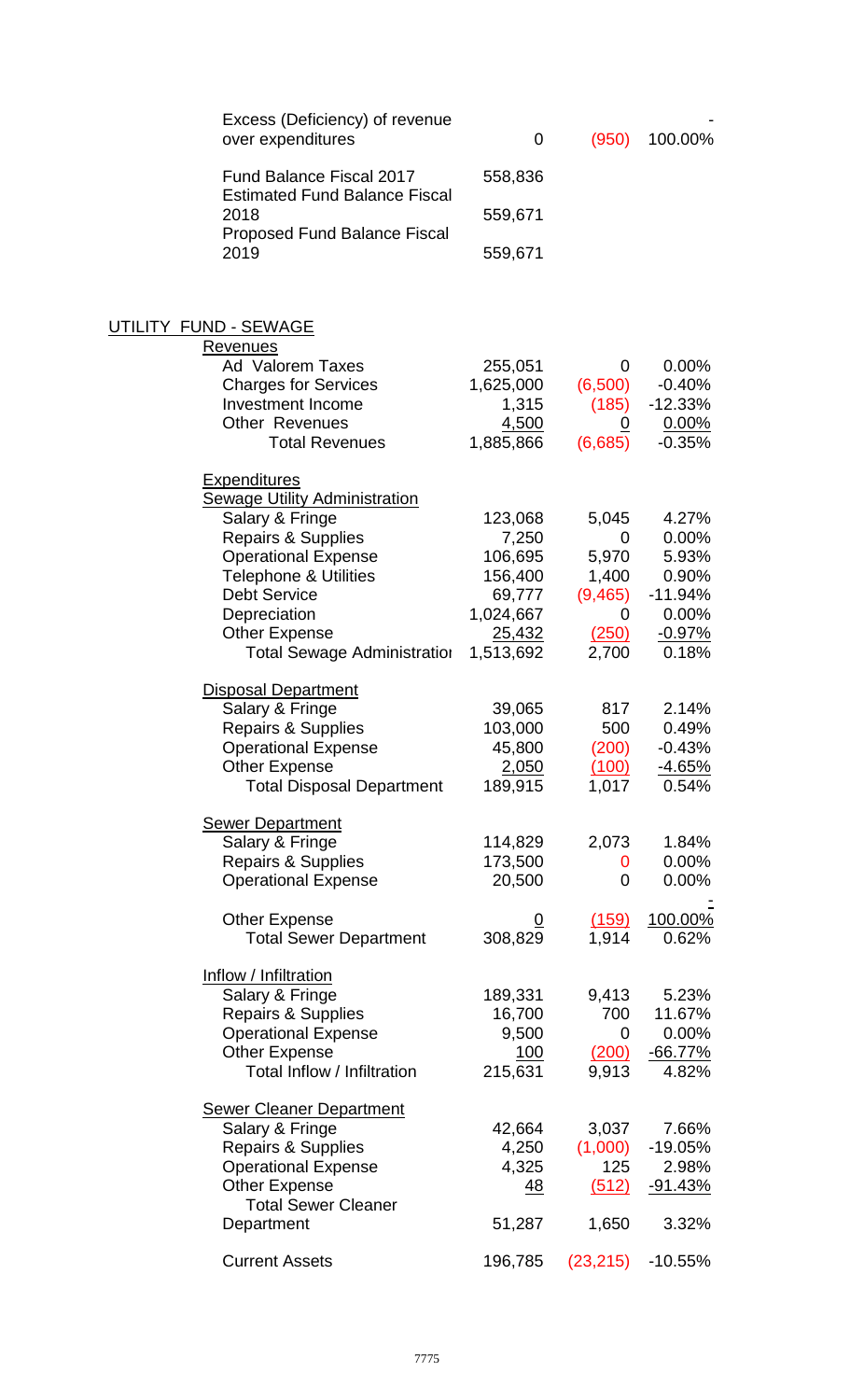| Excess (Deficiency) of revenue<br>over expenditures            | 0                  | (950)          | 100.00%              |
|----------------------------------------------------------------|--------------------|----------------|----------------------|
| <b>Fund Balance Fiscal 2017</b>                                | 558,836            |                |                      |
| <b>Estimated Fund Balance Fiscal</b><br>2018                   | 559,671            |                |                      |
| <b>Proposed Fund Balance Fiscal</b><br>2019                    | 559,671            |                |                      |
| <u> UTILITY FUND - SEWAGE</u>                                  |                    |                |                      |
| <b>Revenues</b>                                                |                    |                |                      |
| <b>Ad Valorem Taxes</b>                                        | 255,051            | 0              | 0.00%                |
| <b>Charges for Services</b>                                    | 1,625,000          | (6,500)        | $-0.40%$             |
| <b>Investment Income</b>                                       | 1,315              | (185)          | $-12.33%$            |
| <b>Other Revenues</b><br><b>Total Revenues</b>                 | 4,500<br>1,885,866 | 0<br>(6,685)   | $0.00\%$<br>$-0.35%$ |
| <u>Expenditures</u>                                            |                    |                |                      |
| <b>Sewage Utility Administration</b>                           |                    |                |                      |
| Salary & Fringe                                                | 123,068            | 5,045          | 4.27%                |
| <b>Repairs &amp; Supplies</b>                                  | 7,250              | 0              | $0.00\%$             |
| <b>Operational Expense</b><br><b>Telephone &amp; Utilities</b> | 106,695<br>156,400 | 5,970<br>1,400 | 5.93%<br>0.90%       |
| <b>Debt Service</b>                                            | 69,777             | (9, 465)       | -11.94%              |
| Depreciation                                                   | 1,024,667          | 0              | 0.00%                |
| <b>Other Expense</b>                                           | 25,432             | (250)          | $-0.97%$             |
| <b>Total Sewage Administration</b>                             | 1,513,692          | 2,700          | 0.18%                |
| <b>Disposal Department</b>                                     |                    |                |                      |
| Salary & Fringe                                                | 39,065             | 817            | 2.14%                |
| Repairs & Supplies                                             | 103,000            | 500            | 0.49%                |
| <b>Operational Expense</b>                                     | 45,800             | (200)          | $-0.43%$             |
| Other Expense<br><b>Total Disposal Department</b>              | 2,050<br>189,915   | (100)<br>1,017 | $-4.65%$<br>0.54%    |
|                                                                |                    |                |                      |
| <b>Sewer Department</b>                                        |                    |                |                      |
| Salary & Fringe                                                | 114,829            | 2,073          | 1.84%                |
| Repairs & Supplies                                             | 173,500            | 0              | $0.00\%$             |
| <b>Operational Expense</b>                                     | 20,500             | 0              | $0.00\%$             |
| <b>Other Expense</b>                                           |                    | (159)          | <u>100.00%</u>       |
| <b>Total Sewer Department</b>                                  | 308,829            | 1,914          | 0.62%                |
| Inflow / Infiltration                                          |                    |                |                      |
| Salary & Fringe                                                | 189,331            | 9,413          | 5.23%                |
| Repairs & Supplies                                             | 16,700             | 700            | 11.67%               |
| <b>Operational Expense</b>                                     | 9,500              | 0              | $0.00\%$             |
| <b>Other Expense</b>                                           | 100                | (200)          | $-66.77%$            |
| Total Inflow / Infiltration                                    | 215,631            | 9,913          | 4.82%                |
| <b>Sewer Cleaner Department</b>                                |                    |                |                      |
| Salary & Fringe                                                | 42,664             | 3,037          | 7.66%                |
| Repairs & Supplies                                             | 4,250              | (1,000)        | -19.05%              |
| <b>Operational Expense</b>                                     | 4,325              | 125            | 2.98%                |
| <b>Other Expense</b>                                           | <u>48</u>          | (512)          | <u>-91.43%</u>       |
| <b>Total Sewer Cleaner</b><br>Department                       | 51,287             | 1,650          | 3.32%                |
|                                                                |                    |                |                      |
| <b>Current Assets</b>                                          | 196,785            | (23, 215)      | $-10.55%$            |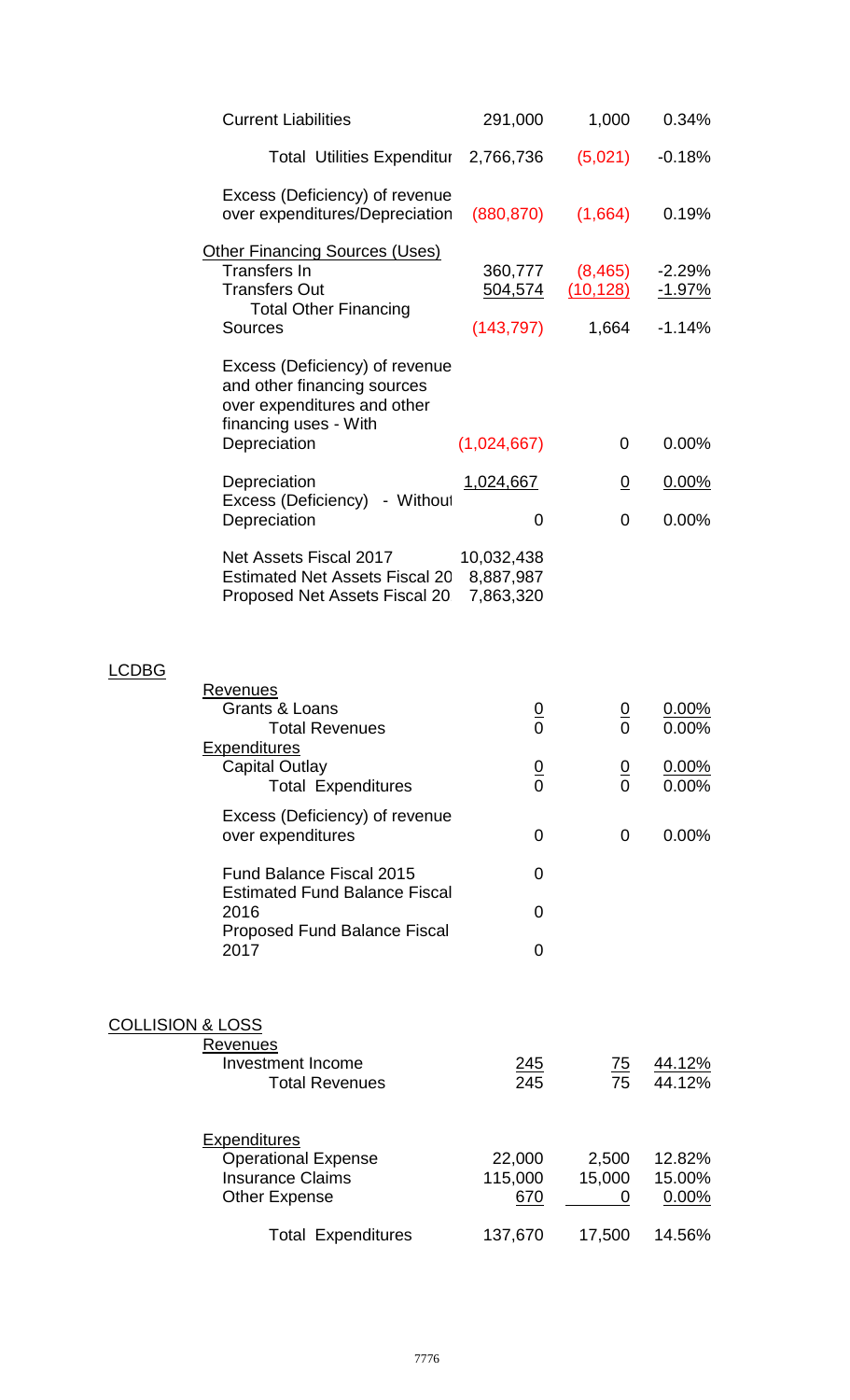|                             | <b>Current Liabilities</b>                                                                                                            | 291,000                              | 1,000                 | 0.34%                     |
|-----------------------------|---------------------------------------------------------------------------------------------------------------------------------------|--------------------------------------|-----------------------|---------------------------|
|                             | <b>Total Utilities Expenditur</b>                                                                                                     | 2,766,736                            | (5,021)               | $-0.18%$                  |
|                             | Excess (Deficiency) of revenue<br>over expenditures/Depreciation                                                                      | (880, 870)                           | (1,664)               | 0.19%                     |
|                             | <b>Other Financing Sources (Uses)</b><br>Transfers In<br><b>Transfers Out</b><br><b>Total Other Financing</b>                         | 360,777<br><u>504,574</u>            | (8, 465)<br>(10, 128) | $-2.29%$<br><u>-1.97%</u> |
|                             | <b>Sources</b>                                                                                                                        | (143, 797)                           | 1,664                 | $-1.14%$                  |
|                             | Excess (Deficiency) of revenue<br>and other financing sources<br>over expenditures and other<br>financing uses - With<br>Depreciation | (1,024,667)                          | 0                     | $0.00\%$                  |
|                             | Depreciation                                                                                                                          | 1,024,667                            | $\overline{0}$        | 0.00%                     |
|                             | Excess (Deficiency) - Without<br>Depreciation                                                                                         | 0                                    | 0                     | 0.00%                     |
|                             | Net Assets Fiscal 2017<br><b>Estimated Net Assets Fiscal 20</b><br>Proposed Net Assets Fiscal 20                                      | 10,032,438<br>8,887,987<br>7,863,320 |                       |                           |
| <b>LCDBG</b>                |                                                                                                                                       |                                      |                       |                           |
|                             | Revenues<br>Grants & Loans<br><b>Total Revenues</b>                                                                                   | $\mathbf 0$                          | 0                     | 0.00%<br>0.00%            |
|                             | <b>Expenditures</b><br><b>Capital Outlay</b><br><b>Total Expenditures</b>                                                             | $\frac{0}{0}$                        | $\frac{0}{0}$         | $0.00\%$<br>0.00%         |
|                             | Excess (Deficiency) of revenue<br>over expenditures                                                                                   | 0                                    | 0                     | 0.00%                     |
|                             | <b>Fund Balance Fiscal 2015</b>                                                                                                       | 0                                    |                       |                           |
|                             | <b>Estimated Fund Balance Fiscal</b><br>2016                                                                                          | 0                                    |                       |                           |
|                             | <b>Proposed Fund Balance Fiscal</b><br>2017                                                                                           | 0                                    |                       |                           |
|                             |                                                                                                                                       |                                      |                       |                           |
| <b>COLLISION &amp; LOSS</b> | <b>Revenues</b><br><b>Investment Income</b><br><b>Total Revenues</b>                                                                  | <u> 245</u><br>245                   | $\overline{75}$<br>75 | <u>44.12%</u><br>44.12%   |
|                             | <b>Expenditures</b><br><b>Operational Expense</b><br><b>Insurance Claims</b><br><b>Other Expense</b>                                  | 22,000<br>115,000<br>670             | 2,500<br>15,000<br>0  | 12.82%<br>15.00%<br>0.00% |
|                             | <b>Total Expenditures</b>                                                                                                             | 137,670                              | 17,500                | 14.56%                    |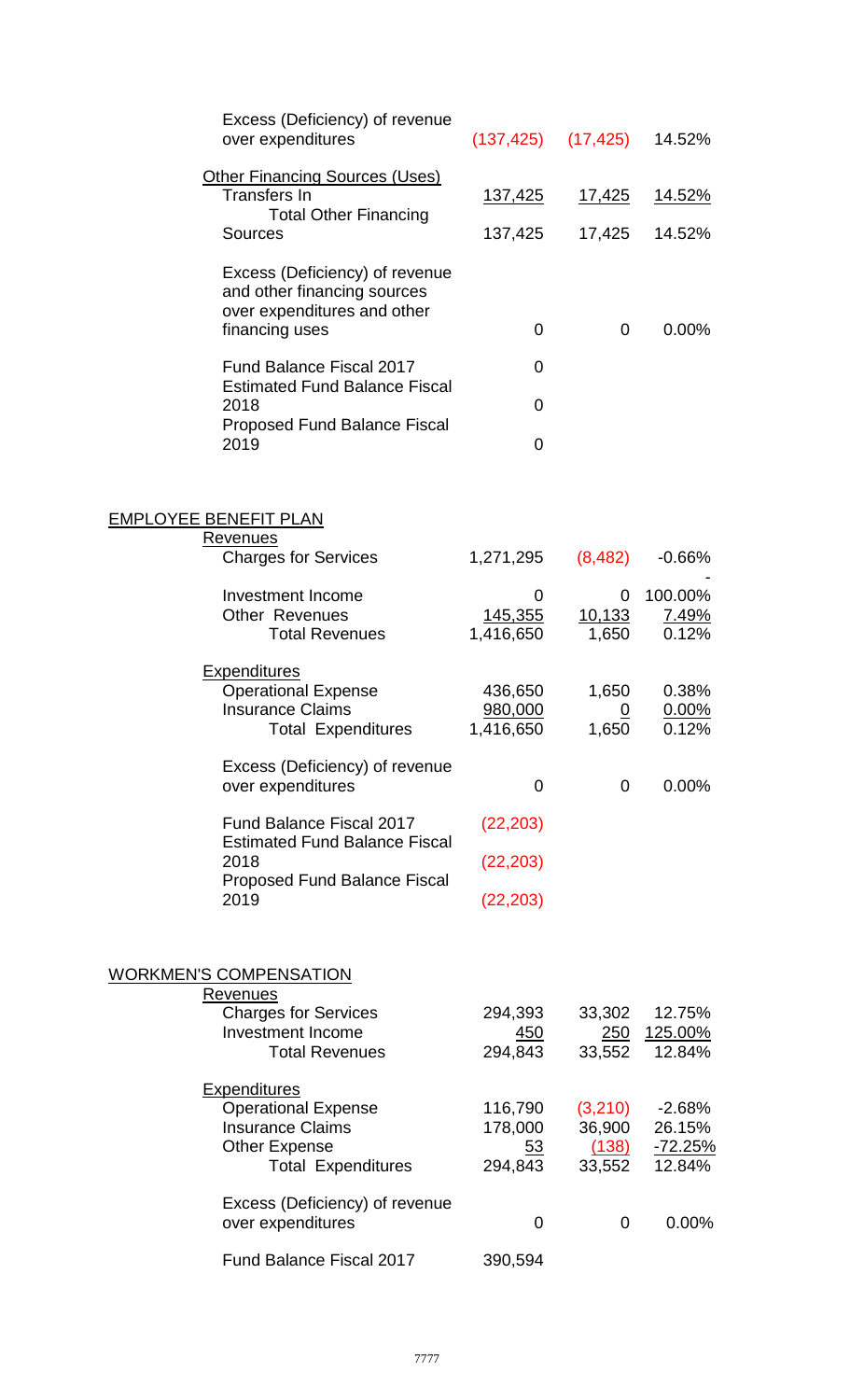| Excess (Deficiency) of revenue<br>over expenditures                                                                               |                                     | $(137, 425)$ $(17, 425)$             | 14.52%                                         |
|-----------------------------------------------------------------------------------------------------------------------------------|-------------------------------------|--------------------------------------|------------------------------------------------|
| <b>Other Financing Sources (Uses)</b><br><b>Transfers In</b>                                                                      | <u>137,425</u>                      | <u>17,425</u>                        | <u>14.52%</u>                                  |
| <b>Total Other Financing</b><br><b>Sources</b>                                                                                    | 137,425                             | 17,425                               | 14.52%                                         |
| Excess (Deficiency) of revenue<br>and other financing sources<br>over expenditures and other<br>financing uses                    | 0                                   | 0                                    | $0.00\%$                                       |
| <b>Fund Balance Fiscal 2017</b>                                                                                                   | 0                                   |                                      |                                                |
| <b>Estimated Fund Balance Fiscal</b><br>2018                                                                                      | $\Omega$                            |                                      |                                                |
| <b>Proposed Fund Balance Fiscal</b><br>2019                                                                                       | $\overline{0}$                      |                                      |                                                |
| <b>EMPLOYEE BENEFIT PLAN</b>                                                                                                      |                                     |                                      |                                                |
| Revenues<br><b>Charges for Services</b>                                                                                           | 1,271,295                           | (8, 482)                             | $-0.66\%$                                      |
| <b>Investment Income</b><br><b>Other Revenues</b><br><b>Total Revenues</b>                                                        | 0<br><u>145,355</u><br>1,416,650    | 0<br><u>10,133</u><br>1,650          | 100.00%<br>7.49%<br>0.12%                      |
| <b>Expenditures</b><br><b>Operational Expense</b><br><b>Insurance Claims</b><br><b>Total Expenditures</b>                         | 436,650<br>980,000<br>1,416,650     | 1,650<br>$\overline{0}$<br>1,650     | 0.38%<br>$0.00\%$<br>0.12%                     |
| Excess (Deficiency) of revenue<br>over expenditures                                                                               | 0                                   | 0                                    | $0.00\%$                                       |
| Fund Balance Fiscal 2017<br><b>Estimated Fund Balance Fiscal</b>                                                                  | (22, 203)                           |                                      |                                                |
| 2018                                                                                                                              | (22, 203)                           |                                      |                                                |
| <b>Proposed Fund Balance Fiscal</b><br>2019                                                                                       | (22, 203)                           |                                      |                                                |
| <b>WORKMEN'S COMPENSATION</b>                                                                                                     |                                     |                                      |                                                |
| Revenues<br><b>Charges for Services</b><br><b>Investment Income</b><br><b>Total Revenues</b>                                      | 294,393<br><u>450</u><br>294,843    | 33,302<br>250<br>33,552              | 12.75%<br>125.00%<br>12.84%                    |
| <b>Expenditures</b><br><b>Operational Expense</b><br><b>Insurance Claims</b><br><b>Other Expense</b><br><b>Total Expenditures</b> | 116,790<br>178,000<br>53<br>294,843 | (3,210)<br>36,900<br>(138)<br>33,552 | $-2.68%$<br>26.15%<br><u>-72.25%</u><br>12.84% |
| Excess (Deficiency) of revenue<br>over expenditures                                                                               | 0                                   | 0                                    | 0.00%                                          |
| Fund Balance Fiscal 2017                                                                                                          | 390,594                             |                                      |                                                |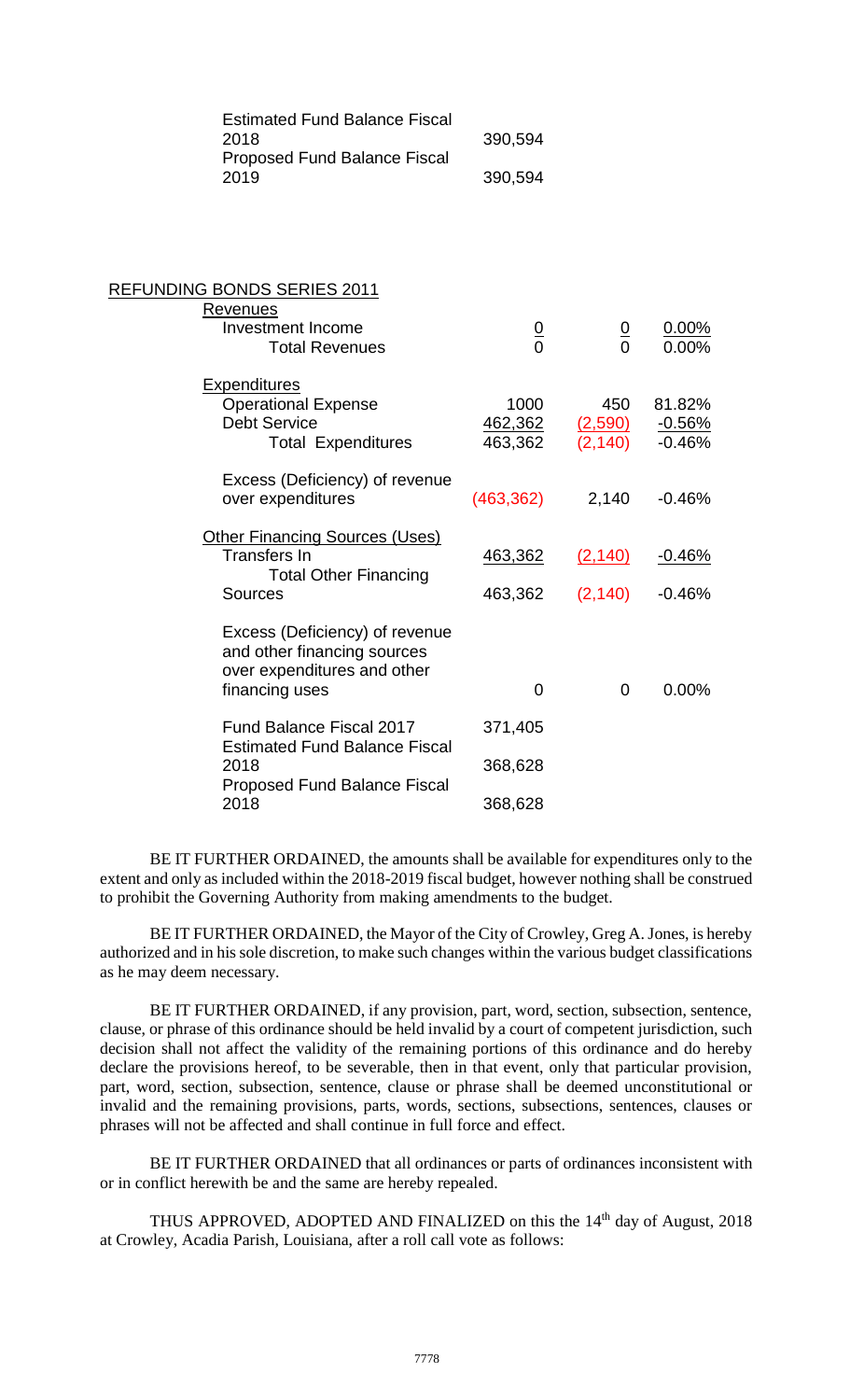| <b>Estimated Fund Balance Fiscal</b> |         |
|--------------------------------------|---------|
| 2018                                 | 390,594 |
| <b>Proposed Fund Balance Fiscal</b>  |         |
| 2019                                 | 390,594 |

| <b>REFUNDING BONDS SERIES 2011</b>                                                                             |                                   |                                   |                                |
|----------------------------------------------------------------------------------------------------------------|-----------------------------------|-----------------------------------|--------------------------------|
| Revenues<br><b>Investment Income</b><br><b>Total Revenues</b>                                                  | $\frac{0}{0}$                     | $\frac{0}{0}$                     | 0.00%<br>$0.00\%$              |
| <b>Expenditures</b><br><b>Operational Expense</b><br><b>Debt Service</b><br><b>Total Expenditures</b>          | 1000<br><u>462,362</u><br>463,362 | 450<br><u>(2,590)</u><br>(2, 140) | 81.82%<br>$-0.56%$<br>$-0.46%$ |
| Excess (Deficiency) of revenue<br>over expenditures                                                            | (463, 362)                        | 2,140                             | $-0.46%$                       |
| Other Financing Sources (Uses)<br><b>Transfers In</b><br><b>Total Other Financing</b><br><b>Sources</b>        | 463,362<br>463,362                | (2, 140)<br>(2, 140)              | <u>-0.46%</u><br>$-0.46%$      |
| Excess (Deficiency) of revenue<br>and other financing sources<br>over expenditures and other<br>financing uses | $\Omega$                          | $\Omega$                          | $0.00\%$                       |
| <b>Fund Balance Fiscal 2017</b><br><b>Estimated Fund Balance Fiscal</b>                                        | 371,405                           |                                   |                                |
| 2018<br><b>Proposed Fund Balance Fiscal</b><br>2018                                                            | 368,628<br>368,628                |                                   |                                |
|                                                                                                                |                                   |                                   |                                |

BE IT FURTHER ORDAINED, the amounts shall be available for expenditures only to the extent and only as included within the 2018-2019 fiscal budget, however nothing shall be construed to prohibit the Governing Authority from making amendments to the budget.

BE IT FURTHER ORDAINED, the Mayor of the City of Crowley, Greg A. Jones, is hereby authorized and in his sole discretion, to make such changes within the various budget classifications as he may deem necessary.

BE IT FURTHER ORDAINED, if any provision, part, word, section, subsection, sentence, clause, or phrase of this ordinance should be held invalid by a court of competent jurisdiction, such decision shall not affect the validity of the remaining portions of this ordinance and do hereby declare the provisions hereof, to be severable, then in that event, only that particular provision, part, word, section, subsection, sentence, clause or phrase shall be deemed unconstitutional or invalid and the remaining provisions, parts, words, sections, subsections, sentences, clauses or phrases will not be affected and shall continue in full force and effect.

BE IT FURTHER ORDAINED that all ordinances or parts of ordinances inconsistent with or in conflict herewith be and the same are hereby repealed.

THUS APPROVED, ADOPTED AND FINALIZED on this the 14<sup>th</sup> day of August, 2018 at Crowley, Acadia Parish, Louisiana, after a roll call vote as follows: